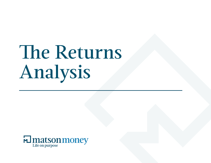# The Returns Analysis

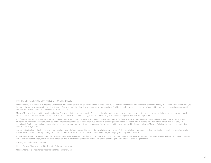### PAST PEFORMANCE IS NO GUARANTEE OF FUTURE RESULTS

Matson Money, Inc. "Matson" is a federally registered investment advisor which has been in business since 1991. This booklet is based on the views of Matson Money, Inc. Other persons may analyze investments and the approach to investing from a different perspective than that reflected in this presentation. Nothing included herein is intended to infer that the approach to investing espoused in this presentation will assure any particular investment results.

Matson Money believes that the stock market is efficient and that free markets work. Based on this belief, Matson focuses on attempting to capture market returns utilizing asset class or structured funds, seeks to utilize broad diversification, and attempts to eliminate stock picking, track record investing, and market timing from the investment process.

All of Matson Money's advisory services are marketed almost exclusively by either solicitors or co-advisors ("Referrers"). Referrers are either unaffiliated separately registered investment advisors, or registered representatives and/or investment advisor representatives of unaffiliated dual registrant brokerage firms. Matson is not affiliated with the Referrers or the firms with which they are associated. Each co- enters into a contractual agreement to serve as a non-discretionary co-advisor with respect to clients referred by the co-advisor to Matson. Solicitors typically do not enter into investment management

agreement with clients. Both co-advisors and solicitors have similar responsibilities including solicitation and referral of clients, and client coaching, including maintaining suitability information, routine service issues, and relationship management. All co-advisors and solicitors are independent contractors, not employees or agents of Matson.

All investing involves risks and costs. Your advisor can provide you with more information about the risks and costs associated with specific programs. Your advisor is not affiliated with Matson Money, Inc. No investment strategy, including asset allocation and diversification strategies, can ensure peace of mind, guarantee profit, or protect against loss.

Copyright © 2021 Matson Money, Inc.

Life on Purpose™ is a registered trademark of Matson Money, Inc.

Matson Money™ is a registered trademark of Matson Money, Inc.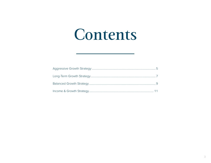# Contents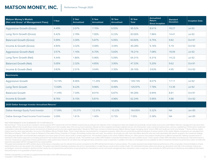# **MATSON MONEY, INC.** Performance Through 2020

| <b>Matson Money's Models</b><br>(Net and Gross* of Management Fees) | 1 Year | 3 Year<br>Annualized | 5 Year<br>Annualized | 10 Year<br>Annualized | 10 Year<br><b>Total</b> | Annualized<br>Return<br><b>Since Inception</b> | <b>Standard</b><br><b>Deviation</b> | <b>Inception Date</b> |
|---------------------------------------------------------------------|--------|----------------------|----------------------|-----------------------|-------------------------|------------------------------------------------|-------------------------------------|-----------------------|
| <b>Aggressive Growth (Gross)</b>                                    | 4.49%  | 2.07%                | 7.70%                | 6.93%                 | 95.52%                  | 8.61%                                          | 18.27                               | <b>Jul-92</b>         |
| Long-Term Growth (Gross)                                            | 5.42%  | 2.78%                | 7.00%                | 6.23%                 | 83.00%                  | 7.86%                                          | 14.41                               | <b>Jul-92</b>         |
| <b>Balanced Growth (Gross)</b>                                      | 5.99%  | 3.30%                | 5.87%                | 5.05%                 | 63.60%                  | 6.75%                                          | 9.82                                | Oct-91                |
| Income & Growth (Gross)                                             | 4.84%  | 3.32%                | 4.08%                | 3.44%                 | 40.28%                  | 5.16%                                          | 5.19                                | Oct-92                |
| Aggressive Growth (Net)                                             | 3.57%  | 1.16%                | 6.70%                | 5.83%                 | 76.21%                  | 7.08%                                          | 18.09                               | <b>Jul-92</b>         |
| Long-Term Growth (Net)                                              | 4.44%  | 1.80%                | 5.96%                | 5.09%                 | 64.31%                  | 6.31%                                          | 14.23                               | <b>Jul-92</b>         |
| <b>Balanced Growth (Net)</b>                                        | 5.00%  | 2.32%                | 4.85%                | 3.95%                 | 47.33%                  | 5.20%                                          | 9.62                                | Oct-91                |
| Income & Growth (Net)                                               | 3.83%  | 2.31%                | 3.04%                | 2.35%                 | 26.16%                  | 3.63%                                          | 4.95                                | Oct-92                |
| <b>Benchmarks</b>                                                   |        |                      |                      |                       |                         |                                                |                                     |                       |
| <b>Aggressive Growth</b>                                            | 14.74% | 8.46%                | 11.25%               | 9.58%                 | 149.73%                 | 8.07%                                          | 17.11                               | <b>Jul-92</b>         |
| Long-Term Growth                                                    | 13.68% | 8.22%                | 9.96%                | 8.49%                 | 125.97%                 | 7.78%                                          | 13.39                               | <b>Jul-92</b>         |
| <b>Balanced Growth</b>                                              | 11.44% | 7.34%                | 8.01%                | 6.87%                 | 94.28%                  | 6.94%                                          | 8.81                                | Oct-91                |
| Income & Growth                                                     | 8.76%  | 6.15%                | 5.81%                | 4.96%                 | 62.24%                  | 5.95%                                          | 4.88                                | Oct-92                |
| 2020 Dalbar Average Investor Annualized Returns*                    |        |                      |                      |                       |                         |                                                |                                     |                       |
| Dalbar Average Equity Fund Investor                                 | 17.09% | 10.37%               | 12.31%               | 10.23%                | 164.85%                 | 5.32%                                          | <b>NA</b>                           | <b>Jan-85</b>         |
| Dalbar Average Fixed Income Fund Investor                           | 3.09%  | 1.61%                | 1.40%                | 0.73%                 | 7.55%                   | 0.38%                                          | <b>NA</b>                           | <b>Jan-85</b>         |

PAST PERFORMANCE IS NO GUARANTEE OF FUTURE RESULTS.

Net and Gross\*: These accounts are invested in various passive DFA mutual funds and Free Market mutual funds according to the objective of the management style and rebalanced periodically. Actual results of accounts under materially different from results shown herein because of differences in the inception date of the account and restrictions. Results are time-weighted and dollar-weighted and are net of transaction costs, investment adviso comparative indices Benchmarks assume reinvestment of dividends and income plus capital appreciation. Results for 1992 have not been included because Matson Money began managing clients' funds in 1992 and results are not f indices have the same asset allocation mix as any of the Matson Money Portfolio Styles. These market data are not presented for comparison purposes; rather, they are presented as general indicators of various sectors of th DFA Returns Software. CRSP is the Center for Research & Securities Pricing, University of Chicago. All investing involves risks and costs. Your advisor can provide you with more information about the risks and costs associ (including asset allocation and diversification strategies) can ensure peace of mind, assure profit, or protect against loss. This booklet is based on the views of Matson Money, Inc. Other persons may analyze investing fro intended to infer that the approach to investing espoused in this booklet will assure any particular results. This booklet must contain GIPS Portfolio Composite Presentations for each portfolio shown. These reports contain not to be construed as a guarantee of future performance. Index performance returns do not reflect any management fees, transaction costs or expenses. In addition, the index is unmanaged and not available for direct invest expenses associated with the management of an actual portfolio.

This graph demonstrates the GIPS verified returns of the above composites over the relevant time period compared to the GIPS defined benchmarks of various indexes. The results represent back-tested historical performance o tested performance are discussed in the endnotes. The graph is provided for illustrative purposes only and no representation is made that you would achieve similar results. The indices/benchmarks referenced above are descr unmanaged, cannot be invested in directly and their returns do not represent the performance of any actual fund or transactions and do not include management fees, transaction costs or expenses. See endnotes for GIPS perfo Past performance is no guarantee of future success.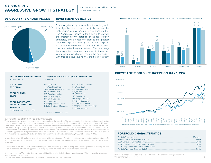# MATSON MONEY **AGGRESSIVE GROWTH STRATEGY**

Annualized Compound Returns (%) All data as of 12/31/2020

# **95% EQUITY • 5% FIXED INCOME**

# **INVESTMENT OBJECTIVE**



Since long-term capital growth is the only goal in this objective, the investor must also accept the high degree of risk inherent in the stock market. The Aggressive Growth Portfolio seeks to provide the greatest growth potential of the four Matson strategies, and exposes the client to the greatest degree of expected volatility. The objective expects to focus the investment in equity funds to help produce better long-term returns. This is a longterm expected investment strategy of at least ten years. Annual withdrawals may not be appropriate with this objective due to the short-term volatility.



| <b>ASSETS UNDER MANAGEMENT</b><br>as of 12/31/2020                                                        | <b>MATSON MONEY AGGRESSIVE GROWTH STYLE</b><br><b>STANDARD</b>                                    |                                                                                                         |
|-----------------------------------------------------------------------------------------------------------|---------------------------------------------------------------------------------------------------|---------------------------------------------------------------------------------------------------------|
| <b>TOTAL AUM:</b><br>\$8.3 Billion                                                                        | Money Market<br>Two-Year Fixed Income<br>Two-Year Global Fixed Income*                            | One-Year Fixed Income<br>Five-Year Gov't<br>Intermediate Credit*                                        |
| <b>TOTAL CLIENTS:</b><br>30,015                                                                           | Intermediate Gov't*<br><b>U.S. Small Cap Value</b><br>U.S. Large Company<br>Int'l Small Cap Value | 1-3 yr Credit *<br>U.S. Micro Cap*<br>U.S. Small Cap<br>U.S. Large Cap Value                            |
| <b>TOTAL AGGRESSIVE</b><br><b>GROWTH OBJECTIVE:</b><br>\$1.0 Billion<br>Portfolio Inception: July 1, 1992 | Int'l Large Cap<br>Emerging Markets Value*<br>Inflation Protected Securities                      | Int'l Small Company*<br>Int'l Large Cap Value<br>Emerging Markets Small Cap*<br><b>Emerging Markets</b> |
|                                                                                                           | *Matson Fund Platform Only                                                                        |                                                                                                         |

### PAST PEFORMANCE IS NO GUARANTEE OF FUTURE RESULTS

These accounts are invested in various mutual funds according to the objective of the management style and rebalanced periodically. Actual results of accounts under Matson Money's management may have been materially different from results shown herein because of differences in the inception date of the account and restrictions. Net of fee results are time-weighted and dollar-weighted and are net of transaction costs, investment advisory fees, and any custodial fees which may have been paid. Gross of fee results are time-weighted and dollar-weighted and are net of transaction costs and any custodial fees which may have been paid. Performance results assume reinvestment of dividends and income plus capital appreciation. Past performance is not to be construed as a guarantee of future performance. Actual Matson Money Investment Performance for the Aggressive Growth Portfolio for the year of 1992 is only for the period of July 1, 1992 to December 31, 1992.

All investing involves risk and costs. Your adviser can provide you with more information about the risks and costs associated with specific programs. No investment strategy (including asset allocation and diversification strategies) can ensure peace of mind, assure profit, or protect against loss.

This booklet is based on the views of Matson Money, Inc. Other persons may analyze investing from a different perspective. Nothing included herein is intended to infer that the approach to investing espoused in this booklet will assure any particular results.

See accompanying GIPS report for disclosures and additional information, including benchmark information. This page must be accompanied<br>with GIPS reports and disclosures with GIPS reports and disclosures.

Portfolio characteristics is included as supplemental information to the GIPS disclosure page.

# **GROWTH OF \$100K SINCE INCEPTION JULY 1, 1992**



# **PORTFOLIO CHARACTERISTICS\***

| 0.86% |
|-------|

Unique Holdings based upon data obtained from DFA for each underlying mutual fund \*Matson Money Fund Platform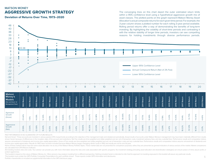# MATSON MONEY **AGGRESSIVE GROWTH STRATEGY**

**Deviation of Returns Over Time, 1973–2020**

The converging lines on this chart depict the outer estimated return limits within a 95% confidence level using a hypothetical aggressive growth mix of asset classes. The plotted points on the graph represent Matson Money Asset Allocation's actual composite returns for each given time period. For example, the 3-year column shows a plotted number for each rolling 3-year period available. Rolling period returns offer a way of demonstrating the benefits of long-term investing. By highlighting the volatility of short-time periods and contrasting it with the relative stability of longer time periods, investors can see compelling reasons for holding investments through diverse performance periods.

| ∸∽<br>23<br>18<br>13<br>8<br>3<br>$-2$<br>$-7$                                             | ≹10.38      |                     | $\bullet$   |             |                |             |             |             |                |             |             |             |             |             |             |             |             |             |                                                                                                          |             |             |             | ۰           |             |             |             |             |             |
|--------------------------------------------------------------------------------------------|-------------|---------------------|-------------|-------------|----------------|-------------|-------------|-------------|----------------|-------------|-------------|-------------|-------------|-------------|-------------|-------------|-------------|-------------|----------------------------------------------------------------------------------------------------------|-------------|-------------|-------------|-------------|-------------|-------------|-------------|-------------|-------------|
| $-12$<br>$-17$<br>$-22$<br>$-27$<br>$-32$<br>$-37$<br>$-42$                                |             | ٠<br>$\overline{2}$ | 3           |             | $\overline{4}$ | 5           | 6           |             | $\overline{7}$ | 8           |             | 9           | 10          |             | 11          | 12          |             | 13          | Upper 95% Confidence Level<br>Annual Compound Return (Net of 2% Fee)<br>Lower 95% Confidence Level<br>14 | 15          |             | 16          | 17          |             | 18          | 19          |             | 20          |
| <b>Matson</b><br>Money's<br><b>Models</b><br>(Net and Gross* of<br><b>Management Fees)</b> | 1993 Return | 1994 Return         | 1995 Return | 1996 Return | 1997 Return    | 1998 Return | 1999 Return | 2000 Return | 2001 Return    | 2002 Return | 2003 Return | 2004 Return | 2005 Return | 2006 Return | 2007 Return | 2008 Return | 2009 Return | 2010 Return | 2011 Return                                                                                              | 2012 Return | 2013 Return | 2014 Return | 2015 Return | 2016 Return | 2017 Return | 2018 Return | 2019 Return | 2020 Return |
| Agressive<br>Growth<br>(Gross)                                                             | 23.44%      | 115%                | 14.08%      | 12.34%      | 8.18%          | 6.78%       | 19.94%      | $-1.37%$    | 0.20%          | $-9.26%$    | 48.57%      | 22.88%      | 13.26%      | 22.69%      | 5.54%       | $-39.06%$   | 34.53%      | 19.53%      | $-9.73%$                                                                                                 | 18.48%      | 29.66%      | 0.78%       | $-3.43%$    | 14.35%      | 19.14%      | $-14.75%$   | 19.39%      | 4.49%       |
| Aggressive<br>Growth<br>(Net)                                                              | 21.59%      | $-0.54%$            | 12.08%      | 10.40%      | 6.35%          | 4.98%       | 17.95%      | $-2.98%$    | $-1.47%$       | $-10.83%$   | 46.05%      | 20.93%      | 11.37%      | 20.77%      | 3.89%       | -40.06%     | 32.50%      | 17.88%      | $-10.89%$                                                                                                | 17.04%      | 28.19%      | 0.29%       | 4.41%       | 13.21%      | 18.02%      | $-15.53%$   | 18.31%      | 3.57%       |

PAST PEFORMANCE IS NO GUARANTEE OF FUTURE RESULTS

Net and Gross\*: These accounts are invested in various passive DFA mutual funds according to the objective of the management style and rebalanced periodically. Actual results of accounts under Matson Money's management may shown herein because of differences in the inception date of the account and restrictions. Net Fee results are time-weighted and dollar-weighted and are net of transaction costs, investment advisory fees, and any custodial assume reinvestment of dividends and income plus capital appreciation. Gross of Fee results are time-weighted and dollar-weighted and are net of transaction costs and any custodial fees. Performance results and comparative income plus capital appreciation. Results for 1992 have not been included because Matson Money began managing clients' funds in 1992 and results are not for one full year.

None of these market indices have the same asset allocation mix as any of the Matson Money Portfolio Styles. These market data are not presented for comparison purposes; rather, they are presented as general indicators of are calculated from DFA Returns Software.

All investing involves risks and costs. Your advisor can provide you with more information about the risks and costs associated with specific programs. No investment strategy (including asset allocation and diversification protect against loss.

.<br>This booklet is based on the views of Matson Money, Inc. Other persons may analyze investing from a different perspective. Nothing included herein is intended to infer that the approach to investing espoused in this book This booklet must contain the GIPS Portfolio Composite Presentations for each portfolio shown. These reports contain GIPS information and disclosures.

Portfolio characteristics is included as supplemental information to the GIPS disclosure page.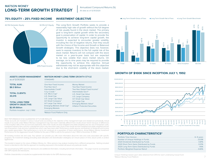# MATSON MONEY **LONG-TERM GROWTH STRATEGY**

Annualized Compound Returns (%) All data as of 12/31/2020

# **75% EQUITY • 25% FIXED INCOME**

# **INVESTMENT OBJECTIVE**



The Long-Term Growth Portfolio seeks to provide a reasonably high rate of growth without the full degree of risk usually found in the stock market. The primary goal is long-term capital growth while the secondary goal is preservation of capital. In order to provide the opportunity to achieve long-term capital growth, the investor is expected to encounter greater volatility, including the risk of negative returns, than they would with the choice of the Income and Growth or Balanced Growth strategies. This objective does not, however, seek to expose investors to the full capital risk of the stock market. Returns will not compare with the stock market on a year-to-year basis but are expected to be less volatile than stock market returns. On average, six to nine years may be required to provide the opportunity to achieve this objective. Annual withdrawals may not be appropriate with this objective due to the short-term volatility of the stock market.

| <b>ASSETS UNDER MANAGEMENT</b><br>as of 12/31/2020                   | <b>MATSON MONEY LONG-TERM GROWTH STYLE</b><br><b>STANDARD</b>                                           |                                                                                                       |
|----------------------------------------------------------------------|---------------------------------------------------------------------------------------------------------|-------------------------------------------------------------------------------------------------------|
| <b>TOTAL AUM:</b><br>\$8.3 Billion                                   | One-Year Fixed Income<br>Five-Year Gov't                                                                | Money Market<br>Two-Year Fixed Income                                                                 |
| <b>TOTAL CLIENTS:</b><br>30,015                                      | Intermediate Credit*<br>1-3 yr Credit *<br>U.S. Micro Cap*<br>U.S. Small Cap<br>U.S. Large Cap Value    | Two-Year Global Fixed Income*<br>Intermediate Gov't*<br>U.S. Small Cap Value<br>U.S. Large Company    |
| <b>TOTAL LONG-TERM</b><br><b>GROWTH OBJECTIVE:</b><br>\$2.95 Billion | Int'l Small Company*<br>Int'l Large Cap Value<br>Emerging Markets Small Cap*<br><b>Emerging Markets</b> | Int'l Small Cap Value<br>Int'l Large Cap<br>Emerging Markets Value*<br>Inflation Protected Securities |
| Portfolio Inception: July 1, 1992                                    | *Matson Fund Platform Only                                                                              |                                                                                                       |

### PAST PEFORMANCE IS NO GUARANTEE OF FUTURE RESULTS

These accounts are invested in various mutual funds according to the objective of the management style and rebalanced periodically. Actual results of accounts under Matson Money's management may have been materially different from results shown herein because of differences in the inception date of the account and restrictions. Net of fee results are time-weighted and dollar-weighted and are net of transaction costs, investment advisory fees, and any custodial fees which may have been paid. Gross of fee results are time-weighted and dollar-weighted and are net of transaction costs and any custodial fees which may have been paid. Performance results assume reinvestment of dividends and income plus capital appreciation. Past performance is not to be construed as a guarantee of future performance. Actual Matson Money Investment Performance for the Aggressive Growth Portfolio for the year of 1992 is only for the period of July 1, 1992 to December 31, 1992.

All investing involves risk and costs. Your adviser can provide you with more information about the risks and costs associated with specific programs. No investment strategy (including asset allocation and diversification strategies) can ensure peace of mind, assure profit, or protect against loss.

This booklet is based on the views of Matson Money, Inc. Other persons may analyze investing from a different perspective. Nothing included herein is intended to infer that the approach to investing espoused in this booklet will assure any particular results.

See accompanying GIPS report for disclosures and additional information, including benchmark information. This page must be accompanied with GIPS reports and disclosures.

Portfolio characteristics is included as supplemental information to the GIPS disclosure page.



■Long-Term Growth Gross of Fees ■Long-Term Growth Net of Fees ■Long-Term Growth Benchmark

# **GROWTH OF \$100K SINCE INCEPTION JULY 1, 1992**



# **PORTFOLIO CHARACTERISTICS\***

| 116%     |
|----------|
| $0.83\%$ |

Unique Holdings based upon data obtained from DFA for each underlying mutual fund \*Matson Money Fund Platform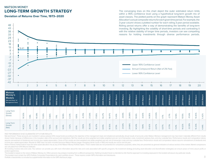# MATSON MONEY **LONG-TERM GROWTH STRATEGY**

**Deviation of Returns Over Time, 1973–2020**

The converging lines on this chart depict the outer estimated return limits within a 95% confidence level using a hypothetical long-term growth mix of asset classes. The plotted points on the graph represent Matson Money Asset Allocation's actual composite returns for each given time period. For example, the 3-year column shows a plotted number for each rolling 3-year period available. Rolling period returns offer a way of demonstrating the benefits of long-term investing. By highlighting the volatility of short-time periods and contrasting it with the relative stability of longer time periods, investors can see compelling reasons for holding investments through diverse performance periods.

| $\bullet$<br>23<br>$\bullet$<br>18<br>13<br>8<br>3<br>$-2$<br>$\bullet$<br>$-7$<br>$\bullet$<br>$-12$<br>$-17$<br>$-22$                  | : 9.41      | $\bullet$                     |                  |             |                               |                  |                  |             |                               |                  |             |                               |                                |             |                   |                   |                   | Upper 95% Confidence Level<br>Annual Compound Return (Net of 2% Fee) |                   |                   |             | u                 | ۰                 |             |                   |                   |                   |             |
|------------------------------------------------------------------------------------------------------------------------------------------|-------------|-------------------------------|------------------|-------------|-------------------------------|------------------|------------------|-------------|-------------------------------|------------------|-------------|-------------------------------|--------------------------------|-------------|-------------------|-------------------|-------------------|----------------------------------------------------------------------|-------------------|-------------------|-------------|-------------------|-------------------|-------------|-------------------|-------------------|-------------------|-------------|
| $-27$<br>$-32$<br>٠<br>$-37$<br>$-42$<br><b>Matson</b><br>Money's<br><b>Models</b><br>(Net and Gross <sup>*</sup> of<br>Management Fees) | 1993 Return | $\overline{2}$<br>1994 Return | 3<br>1995 Return | 1996 Return | $\overline{4}$<br>1997 Return | 5<br>1998 Return | 6<br>1999 Return | 2000 Return | $\overline{7}$<br>2001 Return | 8<br>2002 Return | 2003 Return | $\overline{9}$<br>2004 Return | 10 <sup>°</sup><br>2005 Return | 2006 Return | 11<br>2007 Return | 12<br>2008 Return | 13<br>2009 Return | Lower 95% Confidence Level<br>2010 Return                            | 14<br>2011 Return | 15<br>2012 Return | 2013 Return | 16<br>2014 Return | 17<br>2015 Return | 2016 Return | 18<br>2017 Return | 19<br>2018 Return | 20<br>2019 Return | 2020 Return |
| Long-Term<br>Growth<br>(Gross)                                                                                                           | 16.50%      | 118%                          | 16.58%           | 11.28%      | 9.86%                         | 7.11%            | 16.18%           | 0.23%       | 1.80%                         | 6.25%            | 37.26%      | 17.95%                        | 10.27%                         | 18.47%      | 5.43%             | -30.14%           | 26.86%            | 16.16%                                                               | 6.60%             | 14.85%            | 23.59%      | 1.17%             | $-2.71%$          | 12.18%      | 15.15%            | $-11.54%$         | 16.40%            | 5.42%       |
| Long-Term<br>Growth<br>(Net)                                                                                                             | 14.32%      | 0.47%                         | 14.78%           | 9.46%       | 7.92%                         | 5.15%            | 14.14%           | $-1.42%$    | 0.11%                         | $-7.80%$         | 35.03%      | 16.07%                        | 8.45%                          | 16.55%      | 3.73%             | $-31.30%$         | 24.96%            | 14.54%                                                               | $-7.84%$          | 13.42%            | 22.17%      | 0.07%             | $-3.73%$          | 11.01%      | 14.02%            | $-12.39%$         | 15.30%            | 4.44%       |

PAST PEFORMANCE IS NO GUARANTEE OF FUTURE RESULTS

Net and Gross\*: These accounts are invested in various passive DFA mutual funds according to the objective of the management style and rebalanced periodically. Actual results of accounts under Matson Money's management may shown herein because of differences in the inception date of the account and restrictions. Net Fee results are time-weighted and dollar-weighted and are net of transaction costs, investment advisory fees, and any custodial assume reinvestment of dividends and income plus capital appreciation. Gross of Fee results are time-weighted and dollar-weighted and are net of transaction costs and any custodial fees. Performance results and comparative income plus capital appreciation. Results for 1992 have not been included because Matson Money began managing clients' funds in 1992 and results are not for one full year.

None of these market indices have the same asset allocation mix as any of the Matson Money Portfolio Styles. These market data are not presented for comparison purposes; rather, they are presented as general indicators of are calculated from DFA Returns Software.

All investing involves risks and costs. Your advisor can provide you with more information about the risks and costs associated with specific programs. No investment strategy (including asset allocation and diversification protect against loss.

This booklet is based on the views of Matson Money, Inc. Other persons may analyze investing from a different perspective. Nothing included herein is ir<br>This booklet must contain the GIPS Portfolio Composite Presentations This booklet is based on the views of Matson Money, Inc. Other persons may analyze investing from a different perspective. Nothing included herein is intended to infer that the approach to investing espoused in this bookle

Portfolio characteristics is included as supplemental information to the GIPS disclosure page.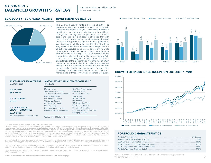# MATSON MONEY **BALANCED GROWTH STRATEGY**

# **50% EQUITY • 50% FIXED INCOME**

# **INVESTMENT OBJECTIVE**



This Balanced Growth Portfolio has two objectives: to preserve capital and to seek to obtain capital growth. Choosing this objective for your investments indicates a need for a balance between capital preservation and longterm growth. This objective is expected to result in more stable and less volatile investment strategies than with the choice of a longer-term growth investment objective. Inherent in this position is that the earning potential of your investment will likely be less than the Growth or Aggressive Growth Portfolio investment strategies, but this objective is expected to be less volatile over time while providing the opportunity to earn a premium above shortterm rates. The risk of capital loss and negative returns cannot be eliminated, but with this choice your portfolio is expected to be subjected to less capital risk than is characteristic of the stock market. While the rate of return cannot be compared to the stock market, the investment manager will be expected to exceed the returns from money market funds and three-month Treasury Bills. To attempt to achieve these returns, no less than a full market cycle of three to five years is generally required.



■Balanced Growth Gross of Fees ■Balanced Growth Net of Fees ■Balanced Growth Benchmark

# **GROWTH OF \$100K SINCE INCEPTION OCTOBER 1, 1991**



### PAST PEFORMANCE IS NO GUARANTEE OF FUTURE RESULTS

These accounts are invested in various mutual funds according to the objective of the management style and rebalanced periodically. Actual results of accounts under Matson Money's management may have been materially different from results shown herein because of differences in the inception date of the account and restrictions. Net of fee results are time-weighted and dollar-weighted and are net of transaction costs, investment advisory fees, and any custodial fees which may have been paid. Gross of fee results are time-weighted and dollar-weighted and are net of transaction costs and any custodial fees which may have been paid. Performance results assume reinvestment of dividends and income plus capital appreciation. Past performance is not to be construed as a guarantee of future performance. Actual Matson Money Investment Performance for the Balanced Growth Portfolio for the year of 1991 is only for the period of October 1, 1991 to December 31, 1991.

All investing involves risk and costs. Your adviser can provide you with more information about the risks and costs associated with specific programs. No investment strategy (including asset allocation and diversification strategies) can ensure peace of mind, assure profit, or protect against loss.

This booklet is based on the views of Matson Money, Inc. Other persons may analyze investing from a different perspective. Nothing included herein is intended to infer that the approach to investing espoused in this booklet will assure any particular results.

See accompanying GIPS report for disclosures and additional information, including benchmark information. This page must be accompanied with GIPS reports and disclosures.

Portfolio characteristics is included as supplemental information to the GIPS disclosure page.



# **PORTFOLIO CHARACTERISTICS\***

| 0.78% |
|-------|

Unique Holdings based upon data obtained from DFA for each underlying mutual fund \*Matson Money Fund Platform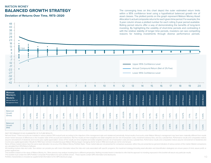# MATSON MONEY **BALANCED GROWTH STRATEGY**

**Deviation of Returns Over Time, 1973–2020**

The converging lines on this chart depict the outer estimated return limits within a 95% confidence level using a hypothetical balanced growth mix of asset classes. The plotted points on the graph represent Matson Money Asset Allocation's actual composite returns for each given time period. For example, the 3-year column shows a plotted number for each rolling 3-year period available. Rolling period returns offer a way of demonstrating the benefits of long-term investing. By highlighting the volatility of short-time periods and contrasting it with the relative stability of longer time periods, investors can see compelling reasons for holding investments through diverse performance periods.

| --<br>23<br>$\bullet$<br>18<br>13                                                                            | 7.91        |                |             |             |             |             |             |             |                |             |             |                |             |             |             |             |             |             |                                                                                                    |             |             |             |             |             |             |             |             |             |
|--------------------------------------------------------------------------------------------------------------|-------------|----------------|-------------|-------------|-------------|-------------|-------------|-------------|----------------|-------------|-------------|----------------|-------------|-------------|-------------|-------------|-------------|-------------|----------------------------------------------------------------------------------------------------|-------------|-------------|-------------|-------------|-------------|-------------|-------------|-------------|-------------|
| $\delta$<br>3                                                                                                |             |                |             |             |             |             |             |             |                |             |             |                |             |             |             |             |             |             |                                                                                                    |             |             |             |             |             |             |             |             |             |
| $-2$<br>$\ddot{\bullet}$<br>$-7$<br>$-12$<br>$-17$<br>$-22$<br>$\bullet$<br>$-27$<br>$-32$<br>$-37$<br>$-42$ |             |                |             |             |             |             |             |             |                |             |             |                |             |             |             |             |             |             | Upper 95% Confidence Level<br>Annual Compound Return (Net of 2% Fee)<br>Lower 95% Confidence Level |             |             |             |             |             |             |             |             |             |
|                                                                                                              |             | $\overline{2}$ | 3           |             | 4           | 5           |             | 6           | $\overline{7}$ | 8           |             | $\overline{9}$ | 10          |             | 11          | 12          | 13          |             | 14                                                                                                 | 15          |             | 16          | 17          |             | 18          | 19          | 20          |             |
| <b>Matson</b><br>Money's<br><b>Models</b><br>(Net and Gross <sup>*</sup> of<br><b>Management Fees)</b>       | 1993 Return | 1994 Return    | 1995 Return | 1996 Return | 1997 Return | 1998 Return | 1999 Return | 2000 Return | 2001 Return    | 2002 Return | 2003 Return | 2004 Return    | 2005 Return | 2006 Return | 2007 Return | 2008 Return | 2009 Return | 2010 Return | 2011 Return                                                                                        | 2012 Return | 2013 Return | 2014 Return | 2015 Return | 2016 Return | 2017 Return | 2018 Return | 2019 Return | 2020 Return |
| <b>Balanced</b><br>Growth<br>(Gross)                                                                         | 14.21%      | 0.45%          | 15.79%      | 10.41%      | 9.13%       | 7.61%       | 12.24%      | 2.03%       | 2.38%          | $-2.62%$    | 24.03%      | 12.53%         | 7.68%       | 13.94%      | 5.91%       | $-20.00%$   | 19.03%      | 11.91%      | $-3.57%$                                                                                           | 10.71%      | 15.81%      | 1.32%       | $-1.82%$    | 9.05%       | 10.67%      | $-777%$     | 12.75%      | 5.99%       |
| <b>Balanced</b><br>Growth<br>(Net)                                                                           | 12.36%      | $-1.29%$       | 13.67%      | 8.35%       | 7.15%       | 5.71%       | 10.28%      | 0.32%       | 0.65%          | $-4.27%$    | 21.93%      | 10.74%         | 5.89%       | 12.06%      | 4.19%       | $-21.32%$   | 17.27%      | 10.44%      | 4.77%                                                                                              | 9.40%       | 14.53%      | 0.25%       | $-2.82%$    | 7.95%       | 9.59%       | $-8.66%$    | 11.69%      | 5.00%       |

PAST PEFORMANCE IS NO GUARANTEE OF FUTURE RESULTS

Net and Gross\*: These accounts are invested in various passive DFA mutual funds according to the objective of the management style and rebalanced periodically. Actual results of accounts under Matson Money's management may shown herein because of differences in the inception date of the account and restrictions. Net Fee results are time-weighted and dollar-weighted and are net of transaction costs, investment advisory fees, and any custodial assume reinvestment of dividends and income plus capital appreciation. Gross of Fee results are time-weighted and dollar-weighted and are net of transaction costs and any custodial fees. Performance results and comparative income plus capital appreciation. Results for 1992 have not been included because Matson Money began managing clients' funds in 1992 and results are not for one full year.

None of these market indices have the same asset allocation mix as any of the Matson Money Portfolio Styles. These market data are not presented for comparison purposes; rather, they are presented as general indicators of are calculated from DFA Returns Software.

All investing involves risks and costs. Your advisor can provide you with more information about the risks and costs associated with specific programs. No investment strategy (including asset allocation and diversification protect against loss.

This booklet must contain the GIPS Portfolio Composite Presentations for each portfolio shown. These reports contain GIPS information and disclosures.<br>This booklet must contain the GIPS Portfolio Composite Presentations fo This booklet is based on the views of Matson Money, Inc. Other persons may analyze investing from a different perspective. Nothing included herein is intended to infer that the approach to investing espoused in this bookle

Portfolio characteristics is included as supplemental information to the GIPS disclosure page.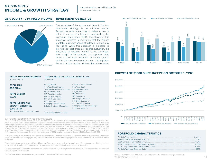# MATSON MONEY **INCOME & GROWTH STRATEGY**

### **INVESTMENT OBJECTIVE 25% EQUITY • 75% FIXED INCOME**



This objective of the Income and Growth Portfolio investment strategy is to minimize capital fluctuations while attempting to deliver a rate of return in excess of inflation as measured by the consumer price index (C.P.I.). The choice of this objective indicates a realization that the client's portfolio must stay ahead of inflation to make any real gains. While this approach is expected to provide the least amount of capital fluctuation, the possibility of negative returns is not eliminated, only sought to be reduced. This approach does imply a substantial reduction of capital growth when compared to the stock market. This objective fits with a time horizon of less than three years.



# **GROWTH OF \$100K SINCE INCEPTION OCTOBER 1, 1992**



### PAST PEFORMANCE IS NO GUARANTEE OF FUTURE RESULTS

These accounts are invested in various mutual funds according to the objective of the management style and rebalanced periodically. Actual results of accounts under Matson Money's management may have been materially different from results shown herein because of differences in the inception date of the account and restrictions. Net of fee results are time-weighted and dollar-weighted and are net of transaction costs, investment advisory fees, and any custodial fees which may have been paid. Gross of fee results are time-weighted and dollar-weighted and are net of transaction costs and any custodial fees which may have been paid. Performance results assume reinvestment of dividends and income plus capital appreciation. Past performance is not to be construed as a guarantee of future performance. Actual Matson Money Investment Performance for the Income and Growth portfolio for the year of 1992 is only for the period of October 1, 1992 to December 31, 1992.

All investing involves risk and costs. Your adviser can provide you with more information about the risks and costs associated with specific programs. No investment strategy (including asset allocation and diversification strategies) can ensure peace of mind, assure profit, or protect against loss.

This booklet is based on the views of Matson Money, Inc. Other persons may analyze investing from a different perspective. Nothing included herein is intended to infer that the approach to investing espoused in this booklet will assure any particular results.

See accompanying GIPS report for disclosures and additional information, including benchmark information. This page must be accompanied with GIPS reports and disclosures.

Portfolio characteristics is included as supplemental information to the GIPS disclosure page.



# **PORTFOLIO CHARACTERISTICS\***

Unique Holdings based upon data obtained from DFA for each underlying mutual fund \*Matson Money Fund Platform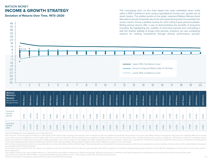# MATSON MONEY **INCOME & GROWTH STRATEGY**

**Deviation of Returns Over Time, 1973–2020**

The converging lines on this chart depict the outer estimated return limits within a 95% confidence level using a hypothetical income and growth mix of asset classes. The plotted points on the graph represent Matson Money Asset Allocation's actual composite returns for each given time period. For example, the 3-year column shows a plotted number for each rolling 3-year period available. Rolling period returns offer a way of demonstrating the benefits of long-term investing. By highlighting the volatility of short-time periods and contrasting it with the relative stability of longer time periods, investors can see compelling reasons for holding investments through diverse performance periods.

| $\sim$<br>18<br>13                                                                                     |             |                |            |             |                |             |             |             |                |             |             |                |             |             |             |                                   |             |             |                                                                                                    |             |             |             |             |             |             |             |             |             |
|--------------------------------------------------------------------------------------------------------|-------------|----------------|------------|-------------|----------------|-------------|-------------|-------------|----------------|-------------|-------------|----------------|-------------|-------------|-------------|-----------------------------------|-------------|-------------|----------------------------------------------------------------------------------------------------|-------------|-------------|-------------|-------------|-------------|-------------|-------------|-------------|-------------|
| 8<br>3<br>$-2$                                                                                         | $*6.14$     |                |            |             |                |             |             |             |                |             |             |                |             |             |             |                                   |             |             |                                                                                                    |             |             | $\bullet$   | $\bullet$   |             | $\bullet$   | 8           |             |             |
| $-7$<br>$-12$<br>$-17$<br>$-22$<br>$-27$<br>$-32$                                                      |             |                |            |             |                |             |             |             |                |             |             |                |             |             |             | the control of the control of the | $\sim$      |             | Upper 95% Confidence Level<br>Annual Compound Return (Net of 2% Fee)<br>Lower 95% Confidence Level |             |             |             |             |             |             |             |             |             |
| $-37$<br>$-42$                                                                                         |             | $\overline{2}$ | 3          |             | $\overline{4}$ | 5           |             | 6           | $\overline{7}$ | 8           |             | $\overline{9}$ | 10          |             | 11          | 12                                |             | 13          | 14                                                                                                 | 15          |             | 16          | 17          |             | 18          | 19          |             | 20          |
| <b>Matson</b><br>Money's<br><b>Models</b><br>(Net and Gross <sup>*</sup> of<br><b>Management Fees)</b> | 1993 Return | Return<br>1994 | 995 Return | 1996 Return | 997 Return     | 1998 Return | 1999 Return | 2000 Return | 2001 Return    | 2002 Return | 2003 Return | 2004 Return    | 2005 Return | 2006 Return | 2007 Return | 2008 Return                       | 2009 Return | 2010 Return | 2011 Return                                                                                        | 2012 Return | 2013 Return | 2014 Return | 2015 Return | 2016 Return | 2017 Return | 2018 Return | 2019 Return | 2020 Return |
| Income &<br>Growth<br>(Gross)                                                                          | 6.95%       | $-0.83%$       | 16.03%     | 9.27%       | 8.95%          | 7.85%       | 7.19%       | 4.72%       | 3.57%          | 179%        | 11.83%      | 6.36%          | 3.65%       | 8.60%       | 5.16%       | $-7.78%$                          | 9.29%       | 7.38%       | 0.20%                                                                                              | 6.10%       | 7.24%       | 1.52%       | -0.78%      | 5.32%       | 5.17%       | $-3.03%$    | 8.47%       | 4.84%       |
| Income &<br>Growth<br>(Net)                                                                            | 4.92%       | $-2.67%$       | 13.74%     | 7.26%       | 7.42%          | 6.30%       | 5.84%       | 2.93%       | 1.79%          | 0.05%       | 9.85%       | 4.40%          | 1.68%       | 6.62%       | 3.40%       | $-9.33%$                          | 7.80%       | 6.00%       | $-1.01%$                                                                                           | 4.87%       | 6.06%       | 0.45%       | $-1.82%$    | 4.22%       | 4.10%       | $-3.99%$    | 7.42%       | 3.83%       |

PAST PEFORMANCE IS NO GUARANTEE OF FUTURE RESULTS

Net and Gross\*: These accounts are invested in various passive DFA mutual funds according to the objective of the management style and rebalanced periodically. Actual results of accounts under Matson Money's management may shown herein because of differences in the inception date of the account and restrictions. Net Fee results are time-weighted and dollar-weighted and are net of transaction costs, investment advisory fees, and any custodial assume reinvestment of dividends and income plus capital appreciation. Gross of Fee results are time-weighted and dollar-weighted and are net of transaction costs and any custodial fees. Performance results and comparative income plus capital appreciation. Results for 1992 have not been included because Matson Money began managing clients' funds in 1992 and results are not for one full year.

None of these market indices have the same asset allocation mix as any of the Matson Money Portfolio Styles. These market data are not presented for comparison purposes; rather, they are presented as general indicators of are calculated from DFA Returns Software.

All investing involves risks and costs. Your advisor can provide you with more information about the risks and costs associated with specific programs. No investment strategy (including asset allocation and diversification protect against loss.

This booklet must contain the GIPS Portfolio Composite Presentations for each portfolio shown. These reports contain GIPS information and disclosures.<br>This booklet must contain the GIPS Portfolio Composite Presentations fo This booklet is based on the views of Matson Money, Inc. Other persons may analyze investing from a different perspective. Nothing included herein is intended to infer that the approach to investing espoused in this bookle

Portfolio characteristics is included as supplemental information to the GIPS disclosure page.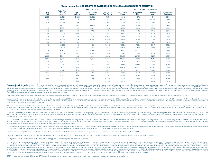| Year<br>End | <b>Total Firm</b><br><b>Assets</b><br>(millions) | <b>Composite Assets</b>  |                              |                                | <b>Annual Performance Results</b> |                         |                       |                                |
|-------------|--------------------------------------------------|--------------------------|------------------------------|--------------------------------|-----------------------------------|-------------------------|-----------------------|--------------------------------|
|             |                                                  | <b>USD</b><br>(millions) | Number of<br><b>Accounts</b> | % of Non-<br><b>Fee-Paying</b> | Composite<br>Gross                | Composite<br><b>Net</b> | Bench-<br><b>Mark</b> | Composite<br><b>Dispersion</b> |
| 2020        | \$8,384                                          | \$1,006                  | 12.388                       | 7.31%                          | 4.49%                             | 3.57%                   | 14.74%                | 0.54%                          |
| 2019        | \$8.799                                          | \$976                    | 12.343                       | 6.86%                          | 19.38%                            | 18.31%                  | 25.05%                | 0.51%                          |
| 2018        | \$8,066                                          | \$759                    | 11,438                       | 7.70%                          | $-14.75%$                         | $-15.53%$               | $-11.08%$             | 0.28%                          |
| 2017        | \$8,657                                          | \$843                    | 10,230                       | 7.70%                          | 19.14%                            | 18.02%                  | 22.45%                | 0.41%                          |
| 2016        | \$7.061                                          | \$637                    | 8.624                        | 8.43%                          | 14.35%                            | 13.21%                  | 9.08%                 | 0.34%                          |
| 2015        | \$6,169                                          | \$527                    | 7.713                        | 7.46%                          | $-3.43%$                          | $-4.41%$                | 1.78%                 | 0.37%                          |
| 2014        | \$5,953                                          | \$509                    | 6,642                        | 7.11%                          | 0.78%                             | $-0.29%$                | 2.36%                 | 0.46%                          |
| 2013        | \$5,020                                          | \$446                    | 5.493                        | 6.96%                          | 29.66%                            | 28.19%                  | 29.73%                | 0.81%                          |
| 2012        | \$3,599                                          | \$334                    | 4.909                        | 6.40%                          | 18.48%                            | 17.04%                  | 16.72%                | 0.40%                          |
| 2011        | \$3.026                                          | \$305                    | 5.021                        | 5.62%                          | $-9.73%$                          | $-10.89%$               | $-7.10%$              | 0.75%                          |
| 2010        | \$2,904                                          | \$346                    | 4,881                        | 5.09%                          | 19.53%                            | 17.88%                  | 18.04%                | 0.73%                          |
| 2009        | \$2,407                                          | \$314                    | 5.079                        | 3.25%                          | 34.53%                            | 32.50%                  | 30.98%                | 1.62%                          |
| 2008        | \$1,922                                          | \$251                    | 5.005                        | 3.89%                          | $-39.05%$                         | $-40.06%$               | $-38.74%$             | 1.22%                          |
| 2007        | \$2.579                                          | \$431                    | 4.605                        | 3.86%                          | 5.54%                             | 3.89%                   | 3.08%                 | 1.32%                          |
| 2006        | \$2,180                                          | \$336                    | 3,340                        | 2.97%                          | 22.69%                            | 20.78%                  | 18.25%                | 0.92%                          |
| 2005        | \$1,504                                          | \$216                    | 2,285                        | 3.28%                          | 13.26%                            | 11.38%                  | 11.34%                | 0.73%                          |
| 2004        | \$1,043                                          | \$144                    | 1.447                        | 2.25%                          | 22.89%                            | 20.93%                  | 18.58%                | 1.05%                          |
| 2003        | \$709                                            | \$105                    | 1,162                        | 3.10%                          | 48.58%                            | 46.05%                  | 41.33%                | 2.28%                          |
| 2002        | \$475                                            | \$70                     | 1.138                        | 2.38%                          | $-9.25%$                          | $-10.83%$               | $-15.84%$             | 1.80%                          |
| 2001        | \$482                                            | \$75                     | 994                          | 3.51%                          | 0.19%                             | $-1.47%$                | $-9.82%$              | 0.87%                          |
| 2000        | \$432                                            | \$65                     | 848                          | 3.03%                          | $-1.37%$                          | $-2.98%$                | $-7.72%$              | 1.97%                          |
| 1999        | \$403                                            | \$49                     | 653                          | 3.74%                          | 19.94%                            | 17.95%                  | 20.98%                | 3.04%                          |
| 1998        | \$332                                            | \$37                     | 310                          | 0.22%                          | 6.78%                             | 4.98%                   | 11.55%                | 1.76%                          |
| 1997        | \$315                                            | \$39                     | 308                          | 4.25%                          | 8.18%                             | 6.35%                   | 6.22%                 | 0.43%                          |

### **Matson Money, Inc. AGGRESSIVE GROWTH COMPOSITE ANNUAL DISCLOSURE PRESENTATION**

Aggressive Growth Composite contains all discretionary Aggressive Growth accounts that invest primarily in equities, are high risk, and have a time horizon of greater than ten years. Composite does not include pooled fund blend of the following indices; 5% One Month T-Bills, 25% Standard & Poor's 500 Index, 25% Russell 2000 Index, 175% MSCI EAFE Index (net div), 275% MSCI EAFE Small Cap Index (net div), calculated monthly, prior to 2009 the benchmark exposure to MSCI EAFE Small Cap Index was represented by the price only index. Prior to June 30, 1996, the composite was measured against a different blend of indices, which was changed to more accurately represe blended benchmark is available upon request. Beginning January 1, 1999, the minimum account size for this composite is \$1000. Prior to 1999, the number of accounts included in the composite is reported as the number of cli *From 1999 forward, the number of accounts reflects the total number of separate portfolios.*

Matson Money, Inc. ("Matson") is an independent SEC registered investment adviser. Matson Money is comprised of a bundled company retirement account platform and a standard fee only money management platform. A list of com

Matson Money, Inc. claims compliance with the Global Investment Performance Standards (GIPS®) and has prepared and presented this report in compliance with the GIPS standards. The firm was been independently verified for t Matson Money, Inc. has been independently verified by ACA Group, Performance Services Division ("ACA") from January 1, 2017 through December 31, 2020 and by Ashland Partners & Company, LLP ("Ashland") for the periods from verification and performance practice effective June 2017.)

A firm that claims compliance with the GIPS standards must establish policies and procedures for complying with all the applicable requirements of the GIPS standards. Verification provides assurance on whether the firm's p the calculation, presentation, and distribution of performance, have been designed in compliance with the GIPS standards and have been implemented on a firm-wide basis. The Aggressive Growth Composite has had a performance The verification and performance examination reports are available upon request.

Results are based on fully discretionary accounts under management, including those accounts no longer with the firm. Beginning July 1, 2002, composite policy requires the temporary removal of any portfolio incurring a cli value. The temporary removal of such an account occurs at the beginning of the month in which the significant cash flow occurs and the account re-enters the composite the month after the cash flow. Additional information r performance is not indicative of future results.

The U.S. Dollar is the currency used to express performance. Returns are presented gross and net of management fees and include the reinvestment of all income. Net of fee performance was calculated using actual management have been reduced by asset based custodial fees and other administrative fees. The annual composite dispersion presented is an asset-weighted standard deviation calculated for the accounts in the composite the entire year. for valuing investments, calculating performance, and preparing GIPS reports are available upon request.

The investment management fee schedule under the private account asset allocation program for the composite is 2% on the first \$500 thousand 1% on the next \$500 thousand 0.75% on the next \$3 million, and 0.50% on the remai program, for the composite is in the range of 1.40% to 0.25%, of which Matson Money receives none of this fee under this program. Actual investment advisory fees incurred by clients may vary.

Matson Money, Inc. changed its name from Abundance Technologies in December 2009. Furthermore, Abundance Technologies, Inc. changed its name from Matrix Asset Allocation in September 2001.

Given the use of Mutual Funds and ETFs for client portfolios Matson Money's valuation policy is very basic and materially differs from the recommended hierarchy in the GIPS Valuation Principles, which pertain to more compl

The Aggressive Growth Composite was created July 1, 1992. The Aggressive Growth Composite inception was July 1, 1992.

The 2020 three year annualized standard deviation for the Aggressive Growth Composite Gross of Fees and Net of Fees were 21.74% and 21.67% compared to the benchmarks standard deviation of 19.40%. The 2019 three year annual Fees and Net of Fees were 12.51% and 12.42% compared to the benchmarks standard deviation of 11.47%. The 2018 three year annualized standard deviation for the Aggressive Growth Composite Gross of Fees and Net Of Fees were The 2017 three year annualized standard deviation for the Aggressive Growth Composite Gross of Fees and Net Of Fees were 10.53% and 10.53% compared to the benchmarks standard deviation of 10.10%. The 2016 three year annual Fees and Net Of Fees were 11.49% and 11.54% compared to the benchmarks standard deviation of 10.94%. The 2015 three year annualized standard deviation for the Aggressive Growth Composite Gross of Fees and Net Of Fees were 10.32%. The 2014 three year annualized standard deviation for the Aggressive Growth Composite Gross of Fees and Net Of Fees were 11.28% and 11.27% compared to the benchmarks standard deviation of 10.58%. The 2013 three yea of Fees and Net Of Fees were 15.13% and 14.98% compared to the benchmarks standard deviation of 13.87%. The 2012 three year annualized standard deviation for the Aggressive Growth Composite Gross of Fees and Net Of Fees we 17.16%. The 2011 three year annualized standard deviation for the Aggressive Growth Composite Gross o f Fees and Net Of Fees were 23.33% and 23.21% compared to the benchmarks standard deviation of 20.59%.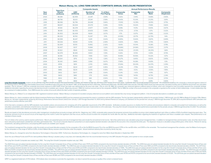|             | <b>Total Firm</b><br><b>Assets</b><br>(millions) | <b>Composite Assets</b>  |                              |                                | <b>Annual Performance Results</b> |                         |                       |                                |
|-------------|--------------------------------------------------|--------------------------|------------------------------|--------------------------------|-----------------------------------|-------------------------|-----------------------|--------------------------------|
| Year<br>End |                                                  | <b>USD</b><br>(millions) | Number of<br><b>Accounts</b> | % of Non-<br><b>Fee-Paying</b> | Composite<br><b>Gross</b>         | Composite<br><b>Net</b> | Bench-<br><b>Mark</b> | Composite<br><b>Dispersion</b> |
| 2020        | \$8,384                                          | \$2.959                  | 23,397                       | 3.64%                          | 5.42%                             | 4.44%                   | 13.68%                | 0.93%                          |
| 2019        | \$8.799                                          | \$3,123                  | 25,941                       | 3.58%                          | 16.40%                            | 15.30%                  | 21.25%                | 0.81%                          |
| 2018        | \$8,066                                          | \$2,796                  | 26,648                       | 3.66%                          | $-11.54%$                         | $-12.39%$               | $-8.05%$              | 0.75%                          |
| 2017        | \$8,657                                          | \$3.004                  | 25,073                       | 3.49%                          | 15.15%                            | 14.02%                  | 17.46%                | 0.82%                          |
| 2016        | \$7,061                                          | \$2,378                  | 21,977                       | 3.29%                          | 12.18%                            | 11.01%                  | 8.00%                 | 0.67%                          |
| 2015        | \$6,169                                          | \$2,053                  | 20,653                       | 3.08%                          | $-2.72%$                          | $-3.73%$                | 1.37%                 | 0.32%                          |
| 2014        | \$5,953                                          | \$2,009                  | 18,661                       | 3.07%                          | 1.17%                             | 0.07%                   | 3.08%                 | 0.32%                          |
| 2013        | \$5,020                                          | \$1,700                  | 15.267                       | 3.11%                          | 23.59%                            | 22.17%                  | 22.75%                | 1.14%                          |
| 2012        | \$3,599                                          | \$1.247                  | 12.811                       | 3.02%                          | 14.85%                            | 13.42%                  | 13.87%                | 0.69%                          |
| 2011        | \$3,026                                          | \$1,109                  | 12,150                       | 2.69%                          | $-6.60%$                          | $-7.84%$                | $-3.74%$              | 0.80%                          |
| 2010        | \$2,904                                          | \$1,155                  | 10,892                       | 2.42%                          | 16.16%                            | 14.54%                  | 15.38%                | 0.78%                          |
| 2009        | \$2,407                                          | \$1,117                  | 10,984                       | 1.22%                          | 26.86%                            | 24.96%                  | 24.92%                | 2.07%                          |
| 2008        | \$1,922                                          | \$926                    | 10.833                       | 1.55%                          | $-30.14%$                         | $-31.30%$               | $-30.25%$             | 1.84%                          |
| 2007        | \$2,579                                          | \$1.265                  | 9.923                        | 1.33%                          | 5.42%                             | 3.72%                   | 4.30%                 | 0.73%                          |
| 2006        | \$2,180                                          | \$1,062                  | 7.906                        | 1.32%                          | 18.46%                            | 16.56%                  | 15.32%                | 1.07%                          |
| 2005        | \$1,504                                          | \$715                    | 5,735                        | 1.26%                          | 10.27%                            | 8.45%                   | 8.60%                 | 0.95%                          |
| 2004        | \$1.043                                          | \$465                    | 3.566                        | 0.67%                          | 17.96%                            | 16.08%                  | 14.69%                | 1.13%                          |
| 2003        | \$709                                            | \$315                    | 2.705                        | 0.85%                          | 37.26%                            | 35.03%                  | 32.07%                | 2.35%                          |
| 2002        | \$475                                            | \$224                    | 2.407                        | 0.45%                          | $-6.24%$                          | $-7.79%$                | $-11.03%$             | 1.57%                          |
| 2001        | \$482                                            | \$229                    | 2,076                        | 0.35%                          | 1.80%                             | 0.12%                   | $-5.56%$              | 1.99%                          |
| 2000        | \$432                                            | \$207                    | 1,838                        | 0.64%                          | 0.24%                             | $-1.42%$                | $-4.19%$              | 1.87%                          |
| 1999        | \$403                                            | \$185                    | 1.713                        | 0.63%                          | 16.18%                            | 14.15%                  | 16.75%                | 2.34%                          |
| 1998        | \$332                                            | \$112                    | 684                          | 0.90%                          | 7.11%                             | 5.15%                   | 12.32%                | 0.70%                          |
| 1997        | \$315                                            | \$126                    | 712                          | 1.25%                          | 9.86%                             | 7.92%                   | 8.81%                 | 0.60%                          |

### **Matson Money, Inc. LONG-TERM GROWTH COMPOSITE ANNUAL DISCLOSURE PRESENTATION**

Long-Term Growth Composite contains all discretionary Long-Term Growth accounts that invest primatily in equities, are medium to high risk, and have a time horizon of six to ten years. Composite does not include pooled fun the following indices; 20% Barclays Intermediate Government Credit Bond Index (1-10 year), 5% One Month T-Bills, 22.5% Standard & Poor's 500 Index, 20% Russell 2000 Index, 15% MSCI EAFE Index (net div), 7.5% MSCI EAFE Smal quarterly. Prior to January 1, 2010 the composite benchmark exposure to MSCI EAFE Small Cap Index was represented by the price only index. Prior to June 30, 1996, the composite was measured against a different blend of ind .<br>Additional information regarding the previous blended benchmark is available upon request. Beginning January 1,1999, the minimum account size for this composite is \$1000. Prior to 1999, the number of accounts included in *be comprised of multiple portfolios. From 1999 forward, the number of accounts reflects the total number of separate portfolios.*

Matson Money, Inc. ("Matson") is an independent SEC registered investment adviser. Matson Money is comprised of a bundled company retirement account platform and a standard fee only money management platform. A list of com

Matson Money, Inc. claims compliance with the Global Investment Performance Standards (GIPS®) and has prepared and presented this report in compliance with the GIPS standards. The firm has been independently verified for t Money, Inc. has been independently verified by ACA Group. Performance Services Division ("ACA") from January 1, 2017 through December 31, 2020 and by Ashland Partners & Company, LLP ("Ashland") for the periods from January performance practice effective June 2017.)

A firm that claims compliance with the GIPS standards must establish policies and procedures for complying with all the applicable requirements of the GIPS standards. Verification provides assurance on whether the firm's p calculation, presentation, and distribution of performance, have been designed in compliance with the GIPS standards and have been implemented on a firm-wide basis. The Long-Term Growth Composite has had a performance exam and performance examination reports are available upon request.

Results are based on fully discretionary accounts under management, including those accounts no longer with the firm. Beginning July 1, 2002, composite policy requires the temporary removal of any portfolio incurring a cli temporary removal of such an account occurs at the beginning of the month in which the significant cash flow occurs, and the account re-enters the composite the month after the cash flow. Additional information regarding t indicative of future results.

The U.S. Dollar is the currency used to express performance. Returns are presented gross and net of management fees and include the reinvestment of all income. Net of fee performance was calculated using actual management been reduced by asset based custodial fees and other administrative fees. The annual composite dispersion presented is an asset-weighted standard deviation calculated for the accounts in the composite the entire year. The investments, calculating performance, and preparing GIPS reports are available upon request.

The investment management fee schedule, under the private account asset allocation program, for the composite is 2% on the first \$500 thousand, 1% on the next \$500 thousand, 0.75% on the next \$3 million, and 0.50% on the r for the composite is in the range of 1.40% to 0.25%, of which Matson Money receives none of this fee under this program. Actual investment advisory fees incurred by clients may vary.

Matson Money, Inc. changed its name from Abundance Technologies in December 2009. Furthermore, Abundance Technologies, Inc. changed its name from Matrix Asset Allocation in September 2001.

Given the use of Mutual Funds and ETFs for client portfolios Matson Money's valuation policy is very basic and materially differs from the recommended hierarchy in the GIPS Valuation Principles, which pertain to more compl

The Long-Term Growth Composite was created July 1, 1992. The Long-Term Growth Composite inception was July 1, 1992.

The 2020 three-year annualized standard deviation for the Long-Term Growth Composite Gross of Fees and Net of Fees were 17.57% and 17.50% compared to the benchmarks standard deviation of 15.26%. The 2019 three-year annuali Net of Fees were 10.07% and 9.99% compared to the benchmarks standard deviation of 8.98%. The 2018 three-year annualized standard deviation for the Long-Term Growth Composite Gross of Fees and Net of Fees were 9.16% and 9. year annualized standard deviation for the Long-Term Growth Composite Gross of Fees and Net of Fees were 8.35% and 8.35% compared to the benchmarks standard deviation of 7.84%. The 2016 three-year annualized standard devia 9.15% and 9.20% compared to the benchmarks standard deviation of 8.56%. The 2015 three-year annualized standard deviation for the Long-Term Growth Composite Gross of Fees and Net of Fees were 8.67% and 8.61% compared to th standard deviation for the Long-Term Growth Composite Gross of Fees and Net of Fees were 8.92% and 8.90% compared to the benchmarks standard deviation of 8.31%. The 2013 three-year annualized standard deviation for the Lon compared to the benchmarks standard deviation of 10.85%. The 2012 three-year annualized standard deviation for the Long-Term Growth Composite Gross of Fees and Net of Fees were 14.70% and 14.57% compared to the benchmarks for the Long-Term Growth Composite Gross of Fees and Net of Fees were 18.08% and 17.97% compared to the benchmarks standard deviation of 16.19%.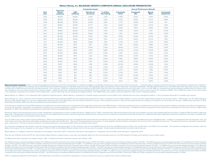|             | <b>Total Firm</b><br><b>Assets</b><br>(millions) | <b>Composite Assets</b>  |                              |                                | <b>Annual Performance Results</b> |                         |                       |                                |
|-------------|--------------------------------------------------|--------------------------|------------------------------|--------------------------------|-----------------------------------|-------------------------|-----------------------|--------------------------------|
| Year<br>End |                                                  | <b>USD</b><br>(millions) | Number of<br><b>Accounts</b> | % of Non-<br><b>Fee-Paying</b> | Composite<br>Gross                | Composite<br><b>Net</b> | Bench-<br><b>Mark</b> | Composite<br><b>Dispersion</b> |
| 2020        | \$8,384                                          | \$3.667                  | 21,105                       | 2.13%                          | 5.99%                             | 5.00%                   | 11.44%                | 0.82%                          |
| 2019        | \$8,799                                          | \$3,935                  | 23,975                       | 1.62%                          | 12.75%                            | 11.69%                  | 16.37%                | 0.98%                          |
| 2018        | \$8,066                                          | \$3,782                  | 25,464                       | 1.55%                          | $-7.77%$                          | $-8.66%$                | $-4.63%$              | 1.11%                          |
| 2017        | \$8.657                                          | \$3.981                  | 24,777                       | 1.42%                          | 10.67%                            | 9.59%                   | 12.27%                | 1.26%                          |
| 2016        | \$7,061                                          | \$3,249                  | 22,342                       | 1.36%                          | 9.05%                             | 7.95%                   | 5.86%                 | 0.94%                          |
| 2015        | \$6,169                                          | \$2,852                  | 21,262                       | 1.25%                          | $-1.82%$                          | $-2.82%$                | 1.61%                 | 0.33%                          |
| 2014        | \$5.953                                          | \$2.692                  | 19.362                       | 1.39%                          | 1.32%                             | 0.25%                   | 3.49%                 | 0.33%                          |
| 2013        | \$5,020                                          | \$2,149                  | 15,431                       | 1.46%                          | 15.81%                            | 14.53%                  | 14.47%                | 1.82%                          |
| 2012        | \$3,599                                          | \$1,444                  | 11.844                       | 1.19%                          | 10.71%                            | 9.40%                   | 10.27%                | 1.15%                          |
| 2011        | \$3,026                                          | \$1,161                  | 10,063                       | 1.18%                          | $-3.57%$                          | $-4.77%$                | $-0.44%$              | 0.80%                          |
| 2010        | \$2,904                                          | \$977                    | 7.877                        | 1.09%                          | 11.91%                            | 10.44%                  | 11.88%                | 1.03%                          |
| 2009        | \$2,407                                          | \$640                    | 5.409                        | 0.26%                          | 19.03%                            | 17.27%                  | 17.93%                | 0.97%                          |
| 2008        | \$1,922                                          | \$504                    | 4.678                        | 0.86%                          | $-20.01%$                         | $-21.32%$               | $-19.73%$             | 0.96%                          |
| 2007        | \$2,579                                          | \$595                    | 3.972                        | 0.32%                          | 5.91%                             | 4.20%                   | 5.25%                 | 0.73%                          |
| 2006        | \$2,180                                          | \$517                    | 3,321                        | 0.13%                          | 13.94%                            | 12.07%                  | 11.27%                | 0.62%                          |
| 2005        | \$1,504                                          | \$379                    | 2,567                        | 0.36%                          | 7.68%                             | 5.88%                   | 6.29%                 | 0.52%                          |
| 2004        | \$1.043                                          | \$272                    | 1.793                        | 0.05%                          | 12.52%                            | 10.73%                  | 10.34%                | 0.92%                          |
| 2003        | \$709                                            | \$204                    | 1,426                        | 0.06%                          | 24.04%                            | 21.93%                  | 21.63%                | 1.24%                          |
| 2002        | \$475                                            | \$131                    | 1.244                        | 0.34%                          | $-2.62%$                          | $-4.27%$                | $-4.78%$              | 0.97%                          |
| 2001        | \$482                                            | \$128                    | 1.035                        | 0.00%                          | 2.37%                             | 0.64%                   | $-1.08%$              | 0.50%                          |
| 2000        | \$432                                            | \$114                    | 949                          | 0.00%                          | 2.02%                             | 0.31%                   | 0.12%                 | 1.04%                          |
| 1999        | \$403                                            | \$111                    | 965                          | 0.00%                          | 12.24%                            | 10.29%                  | 11.29%                | 2.07%                          |
| 1998        | \$332                                            | \$70                     | 375                          | 0.24%                          | 7.61%                             | 5.69%                   | 12.34%                | 0.83%                          |
| 1997        | \$315                                            | \$75                     | 305                          | 0.00%                          | 9.13%                             | 7.15%                   | 8.97%                 | 0.39%                          |

### **Matson Money, Inc. BALANCED GROWTH COMPOSITE ANNUAL DISCLOSURE PRESENTATION**

Balanced Growth Composite contains all discretionary Balanced Growth accounts that invest primarily in a balanced strategy, are moderate risk, and have a time horizon of three to five years. Composite does not include pool measured against a blend of the following indices; 40% Barclays Intermediate Government Credit Bond Index (1-10 year), 10% One Month T-Bills, 20% Standard & Poor's 500 Index, 10% Russell 2000 Index, 7.5% MSCI EAFE Index (n monthly, prior to 2009 the benchmark was calculated quarterly. Prior to January 1, 2010 the composite benchmark exposure to MSCI EAFE Small Cap Index was represented by the price only index. Prior to June 30, 1996, the com was changed to more accurately represent the composite strategy. Additional information regarding the previous blended benchmark is available upon request. Beginning January 1, 1999, the minimum account size for this compo in the composite is reported as the number of client relationships. A client relationship may be comprised of multiple portfolios. From 1999 forward, the number of accounts reflects the total number of separate portfolios.

Matson Money, Inc. ("Matson") is an independent SEC registered investment adviser. Matson Money is comprised of a bundled company retirement account platform and a standard fee only money management platform. A list of com

Matson Money, Inc. claims compliance with the Global Investment Performance Standards (GIPS®) and has prepared and presented this report in compliance with the GIPS standards. The firm has been independently verified for t Company CPAs. Matson Money, Inc. has been independently verified by ACA Group, Performance Services Division ("ACA") from January 1, 2017 through December 31, 2020 and by Ashland Partners & Company, LLP ("Ashland") for the (ACA acquired Ashland's GIPS verification and performance practice effective June 2017.)

A firm that claims compliance with the GIPS standards must establish policies and procedures for complying with all the applicable requirements of the GIPS standards. Verification provides assurance on whether the firm's p as well as the calculation, presentation, and distribution of performance, have been designed in compliance with the GIPS standards and have been implemented on a firm-wide basis. The Balanced Growth Composite has had a pe December 31, 2020. The verification and performance examination reports are available upon request.

Results are based on fully discretionary accounts under management, including those accounts no longer with the firm. Beginning July 1, 2002, composite policy requires the temporary removal of any portfolio incurring a cli asset value. The temporary removal of such an account occurs at the beginning of the month in which the significant cash flow occurs, and the account re-enters the composite the month after the cash flow. Additional inform request. Past performance is not indicative of future results.

The U.S. Dollar is the currency used to express performance. Returns are presented gross and net of management fees and include the reinvestment of all income. Net of fee performance was calculated using actual management of fee returns have been reduced by asset based custodial fees and other administrative fees. The annual composite dispersion presented is an asset-weighted standard deviation calculated for the accounts in the composite t gross -of-fee returns. Policies for valuing investments, calculating performance, and preparing GIPS reports are available upon request.

The investment management fee schedule, under the private account asset allocation program, for the composite is 2% on the first \$500 thousand, 1% on the next \$500 thousand, 0.75% on the next \$3 million, and 0.50% on the r Matson fund program, for the composite is in the range of 1.40% to 0.25%, of which Matson Money receives none of this fee under this program. Actual investment advisory fees incurred by clients may vary.

Matson Money, Inc. changed its name from Abundance Technologies in December 2009. Furthermore, Abundance Technologies, Inc. changed its name from Matrix Asset Allocation in September 2001.

Given the use of Mutual Funds and ETFs for client portfolios Matson Money's valuation policy is very basic and materially differs from the recommended hierarchy in the GIPS Valuation Principles, which pertain to more compl

The Balanced Growth Composite was created October 1, 1991. The Balanced Growth Composite inception was October 1, 1991.

The 2020 three-year annualized standard deviation for the Balanced Growth Composite Gross of Fees and Net of Fees were 12.46% and 12.39% compared to the benchmarks standard deviation of 10.05%. The 2019 three-year annualiz Gross of Fees and Net of Fees were 7.00% and 6.93% compared to the benchmarks standard deviation of 5.86%. The 2018 three-year annualized standard deviation for the Balanced Growth Composite Gross of Fees and Net Of Fees w deviation of 5.55%. The 2017 three-year annualized standard deviation for the Balanced Growth Composite Gross of Fees and Net Of Fees were 5.64% and 5.64% compared to the benchmarks standard deviation of 5.04%. The 2016 th Growth Composite Gross of Fees and Net Of Fees were 6.24% and 6.30% compared to the benchmarks standard deviation of 5.53%. The 2015 three-year annualized standard deviation for the Balanced Growth Composite Gross of Fees benchmarks standard deviation of 5.46%. The 2014 three-year annualized standard deviation for the Balanced Growth Composite Gross of Fees and Net Of Fees were 6.22% and 6.23% compared to the benchmarks standard deviation o for the Balanced Growth Composite Gross of Fees and Net Of Fees were 8.01% and 7.87% compared to the benchmarks standard deviation of 7.08%. The 2012 three-year annualized standard deviation for the Balanced Growth Composi compared to the benchmarks standard deviation of 8.55%. The 2011 three year annualized standard deviation for the Balanced Growth Composite Gross of Fees and Net Of Fees were 12.18% and 12.08% compared to the benchmarks st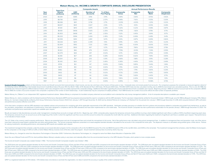|             | <b>Total Firm</b>           | <b>Composite Assets</b>  |                              |                                | <b>Annual Performance Results</b> |                         |                       |                                |
|-------------|-----------------------------|--------------------------|------------------------------|--------------------------------|-----------------------------------|-------------------------|-----------------------|--------------------------------|
| Year<br>End | <b>Assets</b><br>(millions) | <b>USD</b><br>(millions) | Number of<br><b>Accounts</b> | % of Non-<br><b>Fee-Paying</b> | Composite<br>Gross                | Composite<br><b>Net</b> | Bench-<br><b>Mark</b> | Composite<br><b>Dispersion</b> |
| 2020        | \$8,384                     | \$385                    | 3,156                        | 3.14%                          | 4.84%                             | 3.83%                   | 8.76%                 | 0.92%                          |
| 2019        | \$8,799                     | \$393                    | 3,460                        | 2.57%                          | 8.48%                             | 7.42%                   | 11.35%                | 0.30%                          |
| 2018        | \$8,066                     | \$411                    | 3.738                        | 2.71%                          | $-3.03%$                          | $-4.00%$                | $-1.25%$              | 0.32%                          |
| 2017        | \$8,657                     | \$441                    | 3,927                        | 2.13%                          | 5.17%                             | 4.10%                   | 6.54%                 | 0.28%                          |
| 2016        | \$7,061                     | \$413                    | 3,879                        | 2.29%                          | 5.32%                             | 4.22%                   | 4.08%                 | 0.87%                          |
| 2015        | \$6,169                     | \$406                    | 3,925                        | 2.25%                          | $-0.78%$                          | $-1.82%$                | 0.78%                 | 0.71%                          |
| 2014        | \$5,953                     | \$408                    | 3,811                        | 2.55%                          | 1.52%                             | 0.45%                   | 3.64%                 | 0.17%                          |
| 2013        | \$5,020                     | \$394                    | 3,404                        | 2.45%                          | 7.24%                             | 6.06%                   | 6.48%                 | 0.41%                          |
| 2012        | \$3,599                     | \$310                    | 2,851                        | 1.67%                          | 6.10%                             | 4.87%                   | 6.69%                 | 0.82%                          |
| 2011        | \$3,026                     | \$251                    | 2.349                        | 1.14%                          | 0.19%                             | $-1.01%$                | 3.12%                 | 0.23%                          |
| 2010        | \$2,904                     | \$192                    | 1,720                        | 1.35%                          | 7.38%                             | 6.00%                   | 8.00%                 | 0.52%                          |
| 2009        | \$2,407                     | \$100                    | 937                          | 1.07%                          | 9.29%                             | 7.80%                   | 10.59%                | 0.78%                          |
| 2008        | \$1,922                     | \$46                     | 479                          | 0.42%                          | $-7.78%$                          | $-9.33%$                | $-7.34%$              | 0.59%                          |
| 2007        | \$2.579                     | \$28                     | 297                          | 0.02%                          | 5.17%                             | 3.40%                   | 6.76%                 | 0.39%                          |
| 2006        | \$2,180                     | \$27                     | 283                          | 0.28%                          | 8.60%                             | 6.62%                   | 7.94%                 | 0.65%                          |
| 2005        | \$1,504                     | \$21                     | 253                          | 0.31%                          | 3.66%                             | 1.68%                   | 3.19%                 | 0.28%                          |
| 2004        | \$1,043                     | \$20                     | 217                          | 0.45%                          | 6.36%                             | 4.40%                   | 5.91%                 | 0.49%                          |
| 2003        | \$709                       | \$12                     | 147                          | 0.00%                          | 11.84%                            | 9.85%                   | 11.44%                | 1.06%                          |
| 2002        | \$475                       | \$10                     | 104                          | 0.00%                          | 1.79%                             | 0.04%                   | 1.47%                 | 0.77%                          |
| 2001        | \$482                       | \$5                      | 56                           | 0.00%                          | 3.57%                             | 1.79%                   | 3.60%                 | 0.26%                          |
| 2000        | \$432                       | \$5                      | 53                           | 0.02%                          | 4.72%                             | 2.93%                   | 4.61%                 | 0.65%                          |
| 1999        | \$403                       | \$7                      | 64                           | 0.39%                          | 7.19%                             | 5.83%                   | 6.40%                 | 0.71%                          |
| 1998        | \$332                       | \$6                      | 36                           | 0.00%                          | 7.85%                             | 6.30%                   | 11.50%                | 1.51%                          |
| 1997        | \$315                       | \$12                     | 22                           | 0.00%                          | 8.95%                             | 7.42%                   | 10.98%                | 0.73%                          |

### **Matson Money, Inc. INCOME & GROWTH COMPOSITE ANNUAL DISCLOSURE PRESENTATION**

Income & Growth Composite contains all discretionary Income and Growth accounts that invest primarily in fixed income, are low risk, and have a time horizon of three years or less. Composite does not include pooled fund ac the following indices; 65% Barclays Intermediate Government Credit Bond Index (1-10 year), 10% One Month T-Bills, 12.5% Standard & Poor's 500 Index, 5% Russell 2000 Index, 7.5% MSCI EAFE Index (net div), calculated monthly composite was measured against a different blend of indices, which was changed to more accurately represent the composite strategy. Additional information regarding the previous blended benchmark is available upon request. Prior to 1999, the number of accounts included in the composite is reported as the number of client relationships. A client relationship may be comprised of multiple portfolios. From 1999 forward, the number of accounts re

Matson Money, Inc. ("Matson") is an independent SEC registered investment adviser. Matson Money is comprised of a bundled company retirement account platform and a standard fee only money management platform. A list of com

Matson Money, Inc. claims compliance with the Global Investment Performance Standards (GIPS®) and has prepared and presented this report in compliance with the GIPS standards. The firm was been independently verified for t Money, Inc. has been independently verified by ACA Group, Performance Services Division ("ACA") from January 1, 2017 through December 31, 2020 and by Ashland Partners & Company, LLP ("Ashland") for the periods from January and performance practice effective June 2017.)

A firm that claims compliance with the GIPS standards must establish policies and procedures for complying with all the applicable requirements of the GIPS standards. Verification provides assurance on whether the firm's p the calculation, presentation, and distribution of performance, have been designed in compliance with the GIPS standards and have been implemented on a firm-wide basis. The Income & Growth Composite has had a performance e verification and performance examination reports are available upon request.

Results are based on fully discretionary accounts under management, including those accounts no longer with the firm. Beginning July 1, 2002, composite policy requires the temporary removal of any portfolio incurring a cli The temporary removal of such an account occurs at the beginning of the month in which the significant cash flow occurs and the account re-enters the composite the month after the cash flow. Additional information regardin is not indicative of future results.

The U.S. Dollar is the currency used to express performance. Returns are presented gross and net of management fees and include the reinvestment of all income. Net of fee performance was calculated using actual management have been reduced by asset based custodial fees and other administrative fees. The annual composite dispersion presented is an asset-weighted standard deviation calculated for the accounts in the composite the entire year. for valuing investments, calculating performance, and preparing GIPS reports are available upon request.

The investment management fee schedule, under the private account asset allocation program, for the composite is 2% on the first \$500 thousand, 1% on the next \$500 thousand, 0.75% on the next \$3 million, and 0.50% on the r for the composite is in the range of 1.40% to 0.25%, of which Matson Money receives none of this fee under this program. Actual investment advisory fees incurred by clients may vary.

Matson Money, Inc. changed its name from Abundance Technologies in December 2009. Furthermore, Abundance Technologies, Inc. changed its name from Matrix Asset Allocation in September 2001.

Given the use of Mutual Funds and ETFs for client portfolios Matson Money's valuation policy is very basic and materially differs from the recommended hierarchy in the GIPS Valuation Principles, which pertain to more compl

The Income & Growth Composite was created October 1, 1992. The Income & Growth Composite inception was October 1, 1992.

The 2020 three-year annualized standard deviation for the Income and Growth Composite Gross of Fees and Net of Fees were 6.20% and 6.15% compared to the benchmarks standard deviation of 5.12%. The 2019 three-year annualize and Net of Fees were 3.33% and 3.29% compared to the benchmarks standard deviation of 2.99%. The 2018 three-year annualized standard deviation for the Income and Growth Composite Gross of Fees and Net Of Fees were 2.91% an 2017 three-year annualized standard deviation for the Income and Growth Composite Gross of Fees and Net Of Fees were 2.54% and 2.55% compared to the benchmarks standard deviation of 2.60%. The 2016 three-year annualized st Net Of Fees were 2.96% and 2.99% compared to the benchmarks standard deviation of 2.96%. The 2015 three-year annualized standard deviation for the Income and Growth Composite Gross of Fees and Net Of Fees were 3.04% and 2. three-year annualized standard deviation for the Income and Growth Composite Gross of Fees and Net Of Fees were 312% and 311% compared to the benchmarks standard deviation of 3.04%. The 2013 three-year annualized standard Fees were 3.84% and 3.69% compared to the benchmarks standard deviation of 3.69%. The 2012 three-year annualized standard deviation for the Income and Growth Composite Gross of Fees and Net Of Fees were 4.62% and 4.50% com year annualized standard deviation for the Income and Growth Composite Gross of Fees and Net Of Fees were 6.08% and 6.00% compared to the benchmarks standard deviation of 5.55%.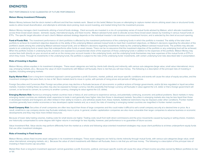# **ENDNOTES**

# PAST PERFORMANCE IS NO GUARANTEE OF FUTURE PERFORMANCE.

## **Matson Money Investment Philosophy**

Matson Money believes that the stock market is efficient and that free markets work. Based on this belief, Matson focuses on attempting to capture market returns utilizing asset class or structured funds, seeks to utilize broad diversification, and attempts to eliminate stock picking, track record investing, and market timing from the investment process.

Matson Money manages client investments utilizing a fund-of-funds strategy. Client accounts are invested in a mix of a proprietary series of mutual funds advised by Matson, which allocate investments across three broad asset classes: domestic equity, international equity, and fixed income. Matson-advised funds seek to allocate across these broad asset classes by investing in various mutual funds or ETFs. The specific target allocation of each client's Matson-advised strategy depends on the individual investor's risk tolerance and investment horizon, and is selected by the client at account opening.

Fund of Funds Risk. The investment performance of client portfolios is affected by the investment performance of the underlying funds in which the portfolio is invested. The ability of the total client portfolio to achieve its investment objective depends on the ability of the underlying Matson-advised mutual funds to meet their investment objectives, on Matson's decisions regarding the allocation of the portfolio's assets among the underlying Matson-advised mutual funds, and on Matson's decisions regarding investments made by the underlying Matson-advised mutual funds. The portfolio may allocate assets to an underlying fund or asset class that underperforms other funds or asset classes. There can be no assurance that the investment objective of the portfolio or any underlying fund will be achieved. When the portfolio invests in underlying funds, investors are exposed to a proportionate share of the expenses of those underlying funds in addition to the expenses of the portfolio. Matson Money may receive fees both directly on your account as well as on the money your account invests in the underlying funds, and the underlying funds themselves may bear expenses of the mutual funds or ETFs in which they invest. Through its investments in the underlying funds, the portfolio is subject to the risks of the underlying funds' investments, with certain underlying fund risks described later in presentation.

# **Risks of Investing in Equities:**

Matson Money utilizes equities in its investment strategies. These asset categories are held by clients both directly and indirectly, with various sub-categories (large value, small value international, micro cap, emerging markets, etc.). Because the value of client investments with Matson will fluctuate, there is risk that you will lose money. The following is a description of the principal risks of investing in equities, including emerging markets:

Equity Market Risk: Even a long-term investment approach cannot guarantee a profit. Economic, market, political, and issuer-specific conditions and events will cause the value of equity securities, and the investment strategies that owns them, to rise or fall. Stock markets tend to move in cycles, with periods of rising prices and periods of falling prices.

Foreign Securities and Currencies Risk: Foreign securities prices may decline or fluctuate because of: (a) economic or political actions of foreign governments, and/or (b) less regulated or liquid securities markets. Investors holding these securities may also be exposed to foreign currency risk (the possibility that foreign currency will fluctuate in value against the U.S. dollar or that a foreign government will convert, or be forced to convert, its currency to another currency, changing its value against the U.S. dollar).

**Emerging Markets Risk:** Numerous emerging market countries have a history of, and continue to experience serious, and potentially continuing, economic and political problems. Stock markets in many emerging market countries are relatively small, expensive to trade in and generally have higher risks than those in developed markets. Securities in emerging markets also may be less liquid than those in developed markets and foreigners are often limited in their ability to invest in, and withdraw assets from, these markets. Additional restrictions may be imposed under other conditions. Frontier market countries generally have smaller economies or less developed capital markets and, as a result, the risks of investing in emerging market countries are magnified in frontier market countries.

**Small Company Risk:** Securities of small companies are often less liquid than those of large companies and this could make it difficult to sell a small company security at a desired time or price. As a result, small/micro cap company stocks may fluctuate relatively more in price. In general, smaller capitalization companies are also more vulnerable than larger companies to adverse business or economic developments and they may have more limited resources.

Because of lower daily trading volumes, trading costs for small stocks are higher. Trading costs result from both direct commissions and the price movements caused by buying or selling shares. Investors are historically compensated to some degree with higher returns in exchange for less liquidity, however, past performance is no quarantee of future success.

Value Investment Risk. Value stocks may perform differently from the market as a whole and following value-oriented investment strategies may cause client portfolios to at times underperform equity funds that use other investment strategies.

## **Risks of Investing in Fixed Income**

Matson Money utilizes fixed income asset categories in its investment strategies. These asset categories are held by clients indirectly through mutual funds, with various sub-categories (large value, small value international, emerging markets, etc.). Because the value of client investments with Matson will fluctuate, there is risk that you will lose money. The following is a description of the principal risks of investing in fixed income cap securities:

Market Risk: Even a long-term investment approach cannot quarantee a profit. Economic, political, and issuer-specific events will cause the value of fixed income securities owned by Matson portfolios to rise or fall.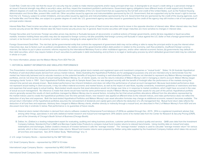Credit Risk: Credit risk is the risk that the issuer of a security may be unable to make interest payments and/or repay principal when due. A downgrade to an issuer's credit rating or a perceived change in an issuer's financial strength may affect a security's value, and thus, impact the investment portfolio's performance. Government agency obligations have different levels of credit support and, therefore, different degrees of credit risk. Securities issued by agencies and instrumentalities of the U.S. Government that are supported by the full faith and credit of the United States, such as the Federal Housing Administration and Ginnie Mae, present little credit risk. Other securities issued by agencies and instrumentalities sponsored by the U.S. Government, that are supported only by the issuer's right to borrow from the U.S. Treasury, subject to certain limitations, and securities issued by agencies and instrumentalities sponsored by the U.S. Government that are sponsored by the credit of the issuing agencies, such as Freddie Mac and Fannie Mae, are subject to a greater degree of credit risk. U.S. government agency securities issued or guaranteed by the credit of the agency may still involve a risk of non-payment of principal and/or interest.

Interest Rate Risk: Fixed income securities are subject to interest rate risk because the prices of fixed income securities tend to move in the opposite direction of interest rates. When interest rates rise, fixed income security prices fall. When interest rates fall, fixed income security prices rise. In general, fixed income securities with longer maturities are more sensitive to changes in interest rates.

Foreign Securities and Currencies: Foreign securities prices may decline or fluctuate because of: (a) economic or political actions of foreign governments, and/or (b) less regulated or liquid securities markets. Investors holding these securities may also be exposed to foreign currency risk (the possibility that foreign currency will fluctuate in value against the U.S. dollar or that a foreign government will convert, or be forced to convert, its currency to another currency, changing its value against the U.S. dollar).

Foreign Government Debt Risk: The risk that: (a) the governmental entity that controls the repayment of government debt may not be willing or able to repay the principal and/or to pay the interest when it becomes due, due to factors such as political considerations, the relative size of the governmental entity's debt position in relation to the economy, cash flow problems, insufficient foreign currency reserves, the failure to put in place economic reforms required by the International Monetary Fund or other multilateral agencies, and/or other national economic factors; (b) governments may default on their debt securities, which may require holders of such securities to participate in debt rescheduling; and (c) there is no legal or bankruptcy process by which defaulted government debt may be collected in whole or in part.

For more information, please see the Matson Money Form ADV Part 2A.

# 1. HISTORICAL MARKET INFORMATION AND SIMULATED PERFORMANCE

This Presentation includes back-tested performance information from various global stock markets and registered open-end investment companies or "mutual funds". Slides 14-24 illustrate Hypothetical Portfolios of well-diversified assets derived from various market indices. Slides illustrating the Hypothetical Portfolios are for pedagogical purposes only and are intended only to demonstrate how the market has historically behaved and to educate investors on the potential benefits of long-term investing in well-diversified portfolios. They are not intended to represent any Matson Money-managed client portfolios, and do not show the results of actual trading by Matson Money, Inc. of clients' assets, nor are the returns indicative of Matson Money's skill in managing a client's account. Matson Money began managing clients' funds in 1991. Each Hypothetical Portfolio along with its Sample Asset Class mix was designed recently with the benefit of hindsight after the performance of the markets during the relevant time period was already known. Back-tested performance has inherent limitations and does not reflect the performance of actual account management. Because back-tested performance does not represent actual trading in client accounts, it may not reflect material economic and market factors, as well as the impact of cash flows, liquidity constraints, investment guidelines or restrictions and fees and expenses that would apply to actual trading. Back-tested results assume that asset allocations would not change over time or in response to market conditions, which might have occurred in the case of actual account management. No inference is made that clients would have had the same performance results if Matson Money managed their assets for any part of this period. Hypothetical portfolio returns generally exceed the results of client portfolios managed by Matson Money due to several factors, including the fact that actual portfolio allocations differed from the allocations represented by the market indices used to create the hypothetical portfolios over the time periods shown, new research was applied at different times to the relevant indices, and index performance does not reflect the deduction of any fees and expenses. Both the back-tested Hypothetical Portfolios and Matson Money's own asset allocation formulas may change as additional economic research becomes available. The annual return information of the hypothetical portfolios assumes the reinvestment of dividends and capital gains and reflects the deduction of a 2% management fee. Mutual fund return data reflects the deduction of all fund fees and expenses. Advisory fees charged to Matson Money clients, whether directly or indirectly through a mutual fund, are described in Part 2 of Matson Money's Form ADV and are discussed more fully in endnote 4, below. Past performance is no guarantee of future results.

- A. Historical stock market information is derived from returns software created by Dimensional Fund Advisors LP (DFA) as updated through Dec. 2015. DFA is a registered investment adviser that, among other things, specializes in and sells statistical market research and mutual fund management. DFA obtains some of its market data from the Center for Research & Security Pricing (CRSP), part of the University of Chicago's Booth School of Business (Chicago Booth).
- B. Dalbar, Inc. (Dalbar) is a leading independent expert for evaluating, auditing and rating business practices, customer performance, product quality and service. QAIB uses data from the Investment Company Institute, Standard & Poor's (S&P) and Barclays Capital Index Products to compare mutual fund investor returns to relevant benchmarks. Using monthly data on mutual fund sales, redemptions and exchanges, Dalbar created a measure of investor behavior it calls the "average investor". The "average investor" analysis is used to calculate "average investor return" for various periods, which is then compared to relevant index returns. Mutual fund investor returns were prepared by Dalbar using data supplied by the Investment Company Institute which takes into account all fund fees and expenses. See 2016 Dalbar Study, "Methodology" at p. 4.
- 2. U.S. Large Company Stocks represented by the S&P 500 Index
- U.S. Small Company Stocks represented by CRSP 9-10 Index
- International Large Company Stocks represented by MSCI EAFE Index
- International Small Company Stock represented by DFA index described in endnote 3.D., below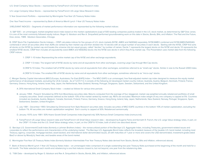U.S. Small Company Value Stocks – represented by Fama/French US Small Value Research index

U.S. Large Company Value Stocks – represented by Fama/French US Large Value Research index

5 Year Government Portfolio – represented by Morningstar Five-Year US Treasury Notes Index

One Year Fixed Income – represented by Bank of America Merrill Lynch 1-Year US Treasury Notes Index

3.RELEVANT INDICES – Segments of market performance information are represented by the following market indices:

 A. S&P 500 – an unmanaged, market-weighted stock index based on the market capitalizations (cap) of 500 leading companies publicly traded in the U.S. stock market, as determined by S&P Dow Jones. It is one of the most commonly followed equity indices. Roger G. Ibbotson and Rex A. Sinquefield performed groundbreaking work on this data in Stocks, Bonds, Bills, and Inflation: The Past and the Future, Dow Jones, 1989. Ibbotson Associates, Chicago.

B. CRSP Stock File Capitalization Decile Indexes – CRSP calculates indices for five groups of U.S. stock markets (NYSE, AMEX and NASDAQ separately, NYSE/AMEX combined and NYSE/AMEX/NASDAQ combined) in which all securities other than ADRs are ranked by their market cap and then divided into 10 deciles with an equal number of securities in each decile. Starting with the NYSE, CRSP first sorts all stocks on the NYSE by market cap and breaks the universe into ten equal groups, called "deciles," by number of names. Decile 1 represents the largest stocks on the NYSE and decile 10 represents the smallest NYSE stocks. CRSP then includes all equivalently sized AMEX and NASDAQ stocks into the NYSE size decile in which they fit by market cap. This Presentation uses market data from the following CRSP indices:

1. CRSP 1-10 Index: Representing the entire market cap of the NYSE and other exchange equivalents.

2. CRSP 1-5 Index: The largest half of NYSE stocks by name and all equivalents from other exchanges, covering Large Cap through Mid Cap stocks.

3.CRSP 6-10 Index: The smallest half of NYSE stocks by name and all equivalents from other exchanges, sometimes referred to as "small-cap" stocks. Similar in size to the Russell 2000 Index.

4.CRSP 9-10 Index: The smallest fifth of NYSE stocks by name and all equivalents from other exchanges, sometimes referred to as "micro-cap" stocks.

C. Morgan Stanley Capital International (MSCI) Europe, Australasia, Far East (EAFE) Index – The MSCI EAFE is an unmanaged, free float-adjusted market cap index designed to measure the equity market performance of developed markets, excluding the US & Canada. As of 12/31/13, it consists of the following 22 developed market country indices: Australia, Austria, Belgium, Denmark, Finland, France, Germany, Greece, Hong Kong, Ireland, Israel, Italy, Japan, the Netherlands, New Zealand, Norway, Portugal, Singapore, Spain, Sweden, Switzerland, and the United Kingdom.

- A. DFA International Small Company Stock Index created as follows for various time periods:
- B. January 1994 Present: Simulated by DFA from Bloomberg securities data. Returns computed from the average of four staggered, market cap-weighted annually rebalanced portfolios of small company securities. Small companies defined as the bottom 10% of the market ranked by market cap. REITs are excluded. Maximum index weight of any one company is capped at 5%. Countries included are Australia, Austria, Belgium, Canada, Denmark, Finland, France, Germany, Greece, Hong Kong, Ireland, Italy, Japan, Netherlands, New Zealand, Norway, Portugal, Singapore, Spain, Switzerland, Sweden, United Kingdom.
- C. July 1981 December 1993: Simulated by Dimensional from Style Research securities data. Includes securities of MSCI EAFE countries in the bottom 10% of market capitalization, excluding the bottom 1%. All securities are market capitalization weighted. Each country is capped at 50%. Rebalanced semiannually.
- D. January 1970-June 1981: 50% Hoare Govett Small Companies Index (hgsmall.ind), 50% Nomura Small Companies Index (nomura.ind).
- E. Fama/French US Large Value research data and Fama/French US Small Value research data developed by Eugene Fama and Kenneth R. French, the U.S. Large Value strategy relies, in part, on the CRSP 1-5 Index and the U.S. Small Value strategy relies, in part, on the CRSP 6-10 Index, both of which are described above.

D. Barclays U.S. Government/Credit Index (formerly a Lehman Brothers Index) – the nonsecuritized portion of the Barclays U.S. Aggregate Index, including Treasuries, government-related issues and corporates to reflect the performance and characteristics of the underlying market. The Barclays U.S. Aggregate Bond Index reflects the broadest measure of the taxable U.S. bond market, including most Treasury, agency, corporate, mortgage-backed, asset-backed, and international dollar-denominated issues, all with maturities of 1 year or more and covers the USD-denominated, investment-grade (rated Baa3 or above by Moody's), fixed-rate, and taxable areas of the bond market.

E. Morningstar Five-Year US Treasury Notes Index (formerly Ibbotson Intermediate Five Year Treasury Notes data derived from Stocks, Bonds, Bills and Inflation, referenced above).

F. Bank of America Merrill Lynch 1-Year US Treasury Notes Index – an unmanaged index comprised of a single outstanding two-year Treasury Note purchased at the beginning of the month and held for a full month. The Note selected at each month-end rebalancing is one that matures closest to, but not beyond, one year from the rebalancing date.

G. T-Bill Data – developed by Roger G. Ibbotson and Rex A. Sinquefield in Stocks, Bonds, Bills, and Inflation, referenced above.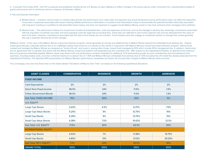H. Consumer Price Index (CPI) – the CPI is produced and published monthly by the U.S. Bureau of Labor Statistics to reflect changes in the prices paid by urban consumers for a representative basket of goods and services and is commonly used as a measure of domestic inflation.

4. Fee and Expense Information

- A. Market Indices Investors cannot invest in a market index directly, the performance of an index does not represent any actual transactions and its performance does not reflect the deduction of any fees or expenses associated with actual investing. Market performance information is included in this Presentation solely to demonstrate the potential benefits historically associated with long-term investing in a portfolio of well-diversified asset classes and does not represent or suggest results Matson Money would or may have achieved when managing client portfolios.
- B. Mutual Funds The performance history of a mutual fund includes all embedded fees, costs and expenses of the fund, such as the manager's advisory fee, brokerage commissions associated with the acquisition of portfolio securities and fund operating costs like legal and accounting fees. These fees are reflected in each fund's expense ratio and are deducted from the value of each fund share. However, commissions associated with the sale of fund shares are not included. Fund investors who also engage an investment adviser to manage their assets generally also pay a separate advisory fee to this manager.

B.Matson Clients - In the case of the Matson Money mutual fund advisory program, clients generally do not pay any additional fee to Matson Money beyond the embedded fund advisory fee. Instead, clients generally pay a separate advisory fee to an unaffiliated adviser that serves as a co-adviser to the clients in conjunction with Matson Money's mutual fund asset allocation program. Mutual funds created and managed by Matson Money are designed as "funds-of-funds" and invest in, among other things, mutual funds managed by DFA which include DFA's management fee. In addition, clients enter into an agreement with a custodian that works with the Matson Money mutual fund platform and separately pay the custodian's fee. With respect to any Hypothetical Portfolio, to determine the maximum fees and expenses potentially payable, Matson clients may deduct from any performance numbers illustrated an additional .51% representing private account custodial fees and miscellaneous fund expenses, including trading costs, since the combined maximum co-adviser fee of 1.40% and Matson Money's embedded fund advisory fee of .50% are below the 2% model fee already deducted from the Hypothetical Portfolios. The attached GIPS presentations for Matson Money's performance composites are shown net of actual fees charged to Matson Money client accounts.

The converging Lines and only those lines on the slides labeled "Deviations of Returns Over Time" are based on the following hypothetical allocations.

| <b>ASSET CLASSES</b>           | <b>CONSERVATIVE</b> | <b>MODERATE</b> | <b>GROWTH</b> | <b>AGRESSIVE</b> |
|--------------------------------|---------------------|-----------------|---------------|------------------|
| <b>FIXED INCOME</b>            |                     |                 |               |                  |
| <b>Cash Equivalents</b>        | 2%                  | 2%              | 2%            | 2%               |
| <b>Short-Term Fixed Income</b> | 36.5%               | 24%             | 11.5%         | 1.5%             |
| <b>5-Year Government Bonds</b> | 36.5%               | 24%             | 11.5%         | 1.5%             |
| <b>Sub Total: FIXED INCOME</b> | 75%                 | 50%             | 25%           | 5%               |
| <b>U.S. EQUITY</b>             |                     |                 |               |                  |
| <b>Large Cap Stocks</b>        | 2.63%               | 4.5%            | 6.37%         | 7.5%             |
| Large Cap Value Stocks         | 5.25%               | 9%              | 12.75%        | 15%              |
| <b>Small Cap Stocks</b>        | 5.26%               | 9%              | 12.75%        | 15%              |
| <b>Small Cap Value Stocks</b>  | 4.38%               | 7.5%            | 10.63%        | 12.5%            |
| Sub Total: U.S. EQUITY         | 17.5%               | 30%             | 42.5%         | 50%              |
| <b>INTERNATIONAL EQUITY</b>    |                     |                 |               |                  |
| <b>Large Cap Stocks</b>        | 2.63%               | 7%              | 11.38%        | 15.75%           |
| <b>Small Cap Stocks</b>        | 4.85%               | 13%             | 21.12%        | 29.25%           |
| Sub Total: INT'L EQUITY        | 7.5%                | 20%             | 32.5%         | 45%              |
| <b>GRAND TOTAL</b>             | 100%                | 100%            | 100%          | 100%             |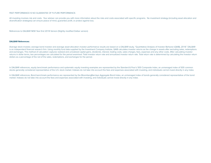# PAST PERFORMANCE IS NO GUARANTEE OF FUTURE PERFORMANCE.

All investing involves risk and costs. Your adviser can provide you with more information about the risks and costs associated with specific programs. No investment strategy (including asset allocation and diversification strategies) can ensure peace of mind, guarantee profit, or protect against loss.

References to DALBAR NEW Year End 2018 Version (Slightly modified Dalbar version)

# **DALBAR References:**

Average stock investor, average bond investor and average asset allocation investor performance results are based on a DALBAR study, "Quantitative Analysis of Investor Behavior (QAIB), 2018." DALBAR is an independent financial research firm. Using monthly fund data supplied by the Investment Company Institute, QAIB calculates investor returns as the change in assets after excluding sales, redemptions and exchanges. This method of calculation captures realized and unrealized capital gains, dividends, interest, trading costs, sales charges, fees, expenses and any other costs. After calculating investor returns in dollar terms, two percentages are calculated for the period examined: Total investor return rate and annualized investor return rate. Total return rate is determined by calculating the investor return dollars as a percentage of the net of the sales, redemptions, and exchanges for the period.

In DALBAR references, equity benchmark performance and systematic equity investing examples are represented by the Standard & Poor's 500 Composite Index, an unmanaged index of 500 common stocks generally considered representative of the U.S. stock market. Indexes do not take into account the fees and expenses associated with investing, and individuals cannot invest directly in any index.

In DALBAR references, Bond benchmark performance are represented by the BloombergBarclays Aggregate Bond Index, an unmanaged index of bonds generally considered representative of the bond market. Indexes do not take into account the fees and expenses associated with investing, and individuals cannot invest directly in any index.